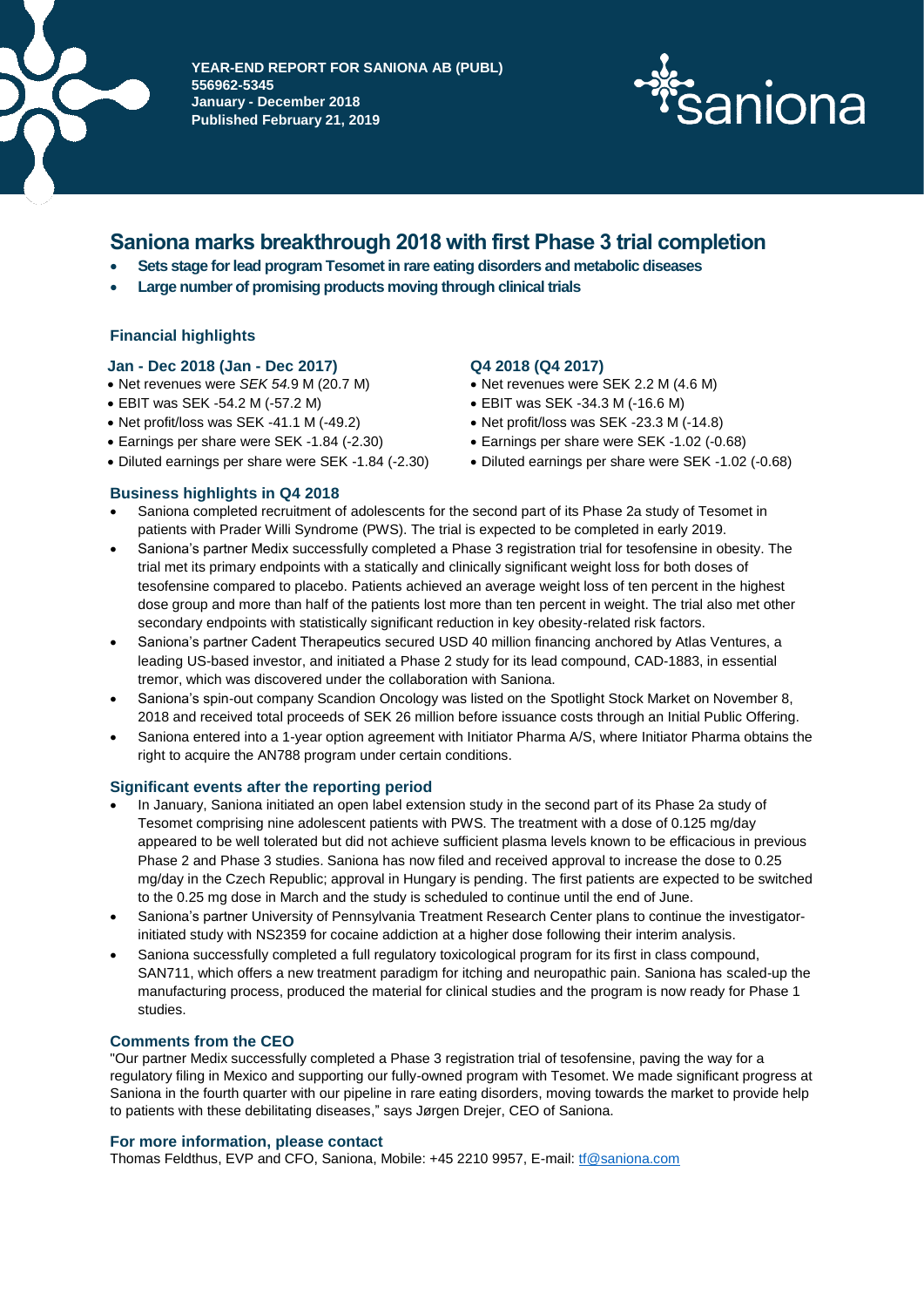

**DELÅRSPAPIER AV SANIONA AB (PUBL) 556962-5345 January - December 2018 Published February 21, 2019**



# **Saniona marks breakthrough 2018 with first Phase 3 trial completion**

- **Sets stage for lead program Tesomet in rare eating disorders and metabolic diseases**
- **Large number of promising products moving through clinical trials**

## **Financial highlights**

#### **Jan - Dec 2018 (Jan - Dec 2017) Q4 2018 (Q4 2017)**

- Net revenues were *SEK 54.*9 M (20.7 M) Net revenues were SEK 2.2 M (4.6 M)
- EBIT was SEK -54.2 M (-57.2 M)
- Net profit/loss was SEK -41.1 M (-49.2)
- Earnings per share were SEK -1.84 (-2.30) Earnings per share were SEK -1.02 (-0.68)
- 

- 
- EBIT was SEK -34.3 M (-16.6 M)
- Net profit/loss was SEK -23.3 M (-14.8)
- 
- Diluted earnings per share were SEK -1.84 (-2.30) Diluted earnings per share were SEK -1.02 (-0.68)
- **Business highlights in Q4 2018**
- Saniona completed recruitment of adolescents for the second part of its Phase 2a study of Tesomet in patients with Prader Willi Syndrome (PWS). The trial is expected to be completed in early 2019.
- Saniona's partner Medix successfully completed a Phase 3 registration trial for tesofensine in obesity. The trial met its primary endpoints with a statically and clinically significant weight loss for both doses of tesofensine compared to placebo. Patients achieved an average weight loss of ten percent in the highest dose group and more than half of the patients lost more than ten percent in weight. The trial also met other secondary endpoints with statistically significant reduction in key obesity-related risk factors.
- Saniona's partner Cadent Therapeutics secured USD 40 million financing anchored by Atlas Ventures, a leading US-based investor, and initiated a Phase 2 study for its lead compound, CAD-1883, in essential tremor, which was discovered under the collaboration with Saniona.
- Saniona's spin-out company Scandion Oncology was listed on the Spotlight Stock Market on November 8, 2018 and received total proceeds of SEK 26 million before issuance costs through an Initial Public Offering.
- Saniona entered into a 1-year option agreement with Initiator Pharma A/S, where Initiator Pharma obtains the right to acquire the AN788 program under certain conditions.

#### **Significant events after the reporting period**

- In January, Saniona initiated an open label extension study in the second part of its Phase 2a study of Tesomet comprising nine adolescent patients with PWS. The treatment with a dose of 0.125 mg/day appeared to be well tolerated but did not achieve sufficient plasma levels known to be efficacious in previous Phase 2 and Phase 3 studies. Saniona has now filed and received approval to increase the dose to 0.25 mg/day in the Czech Republic; approval in Hungary is pending. The first patients are expected to be switched to the 0.25 mg dose in March and the study is scheduled to continue until the end of June.
- Saniona's partner University of Pennsylvania Treatment Research Center plans to continue the investigatorinitiated study with NS2359 for cocaine addiction at a higher dose following their interim analysis.
- Saniona successfully completed a full regulatory toxicological program for its first in class compound, SAN711, which offers a new treatment paradigm for itching and neuropathic pain. Saniona has scaled-up the manufacturing process, produced the material for clinical studies and the program is now ready for Phase 1 studies.

#### **Comments from the CEO**

"Our partner Medix successfully completed a Phase 3 registration trial of tesofensine, paving the way for a regulatory filing in Mexico and supporting our fully-owned program with Tesomet. We made significant progress at Saniona in the fourth quarter with our pipeline in rare eating disorders, moving towards the market to provide help to patients with these debilitating diseases," says Jørgen Drejer, CEO of Saniona.

#### **For more information, please contact**

Thomas Feldthus, EVP and CFO, Saniona, Mobile: +45 2210 9957, E-mail: [tf@saniona.com](mailto:tf@saniona.com)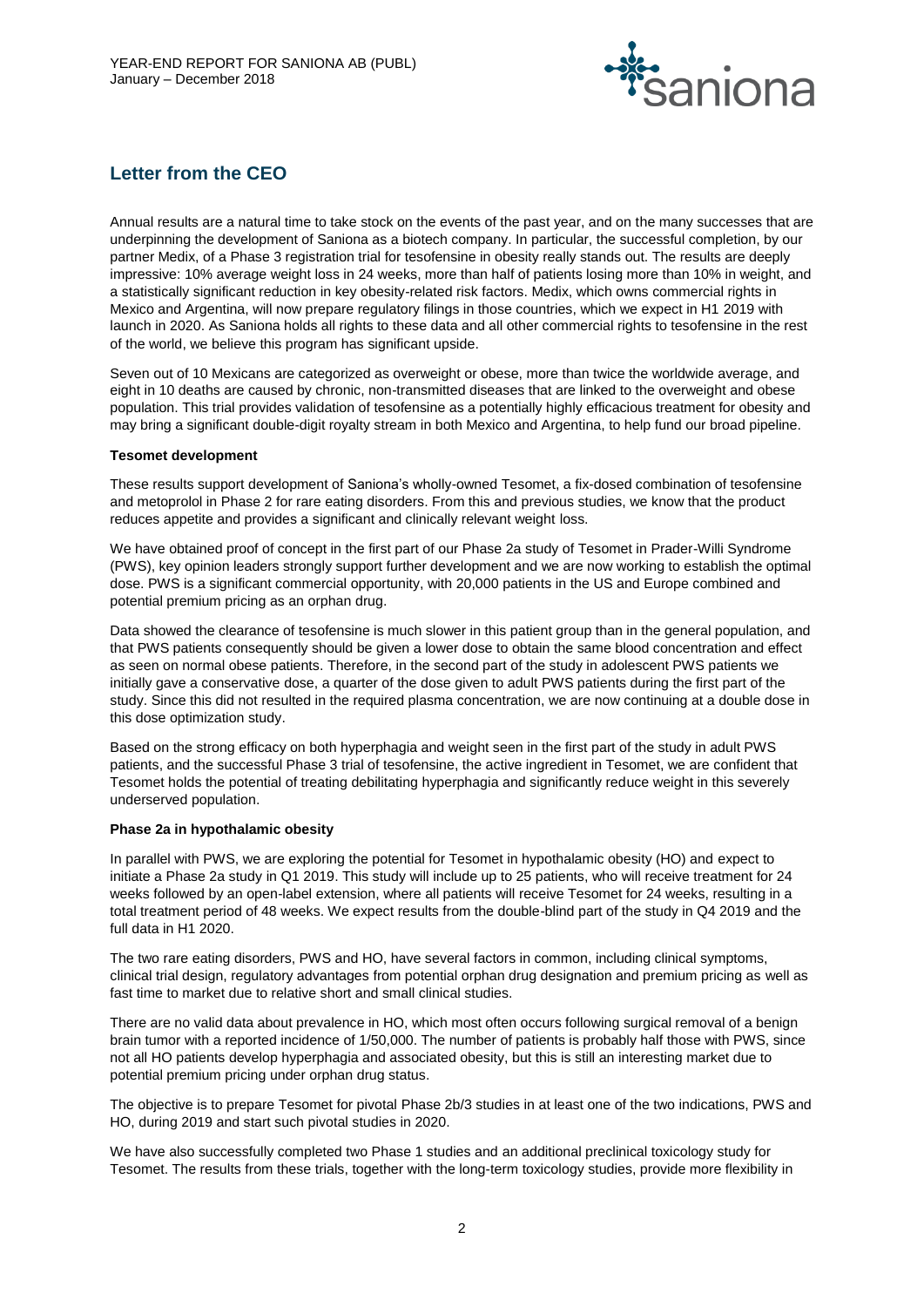

# **Letter from the CEO**

Annual results are a natural time to take stock on the events of the past year, and on the many successes that are underpinning the development of Saniona as a biotech company. In particular, the successful completion, by our partner Medix, of a Phase 3 registration trial for tesofensine in obesity really stands out. The results are deeply impressive: 10% average weight loss in 24 weeks, more than half of patients losing more than 10% in weight, and a statistically significant reduction in key obesity-related risk factors. Medix, which owns commercial rights in Mexico and Argentina, will now prepare regulatory filings in those countries, which we expect in H1 2019 with launch in 2020. As Saniona holds all rights to these data and all other commercial rights to tesofensine in the rest of the world, we believe this program has significant upside.

Seven out of 10 Mexicans are categorized as overweight or obese, more than twice the worldwide average, and eight in 10 deaths are caused by chronic, non-transmitted diseases that are linked to the overweight and obese population. This trial provides validation of tesofensine as a potentially highly efficacious treatment for obesity and may bring a significant double-digit royalty stream in both Mexico and Argentina, to help fund our broad pipeline.

#### **Tesomet development**

These results support development of Saniona's wholly-owned Tesomet, a fix-dosed combination of tesofensine and metoprolol in Phase 2 for rare eating disorders. From this and previous studies, we know that the product reduces appetite and provides a significant and clinically relevant weight loss.

We have obtained proof of concept in the first part of our Phase 2a study of Tesomet in Prader-Willi Syndrome (PWS), key opinion leaders strongly support further development and we are now working to establish the optimal dose. PWS is a significant commercial opportunity, with 20,000 patients in the US and Europe combined and potential premium pricing as an orphan drug.

Data showed the clearance of tesofensine is much slower in this patient group than in the general population, and that PWS patients consequently should be given a lower dose to obtain the same blood concentration and effect as seen on normal obese patients. Therefore, in the second part of the study in adolescent PWS patients we initially gave a conservative dose, a quarter of the dose given to adult PWS patients during the first part of the study. Since this did not resulted in the required plasma concentration, we are now continuing at a double dose in this dose optimization study.

Based on the strong efficacy on both hyperphagia and weight seen in the first part of the study in adult PWS patients, and the successful Phase 3 trial of tesofensine, the active ingredient in Tesomet, we are confident that Tesomet holds the potential of treating debilitating hyperphagia and significantly reduce weight in this severely underserved population.

#### **Phase 2a in hypothalamic obesity**

In parallel with PWS, we are exploring the potential for Tesomet in hypothalamic obesity (HO) and expect to initiate a Phase 2a study in Q1 2019. This study will include up to 25 patients, who will receive treatment for 24 weeks followed by an open-label extension, where all patients will receive Tesomet for 24 weeks, resulting in a total treatment period of 48 weeks. We expect results from the double-blind part of the study in Q4 2019 and the full data in H1 2020.

The two rare eating disorders, PWS and HO, have several factors in common, including clinical symptoms, clinical trial design, regulatory advantages from potential orphan drug designation and premium pricing as well as fast time to market due to relative short and small clinical studies.

There are no valid data about prevalence in HO, which most often occurs following surgical removal of a benign brain tumor with a reported incidence of 1/50,000. The number of patients is probably half those with PWS, since not all HO patients develop hyperphagia and associated obesity, but this is still an interesting market due to potential premium pricing under orphan drug status.

The objective is to prepare Tesomet for pivotal Phase 2b/3 studies in at least one of the two indications, PWS and HO, during 2019 and start such pivotal studies in 2020.

We have also successfully completed two Phase 1 studies and an additional preclinical toxicology study for Tesomet. The results from these trials, together with the long-term toxicology studies, provide more flexibility in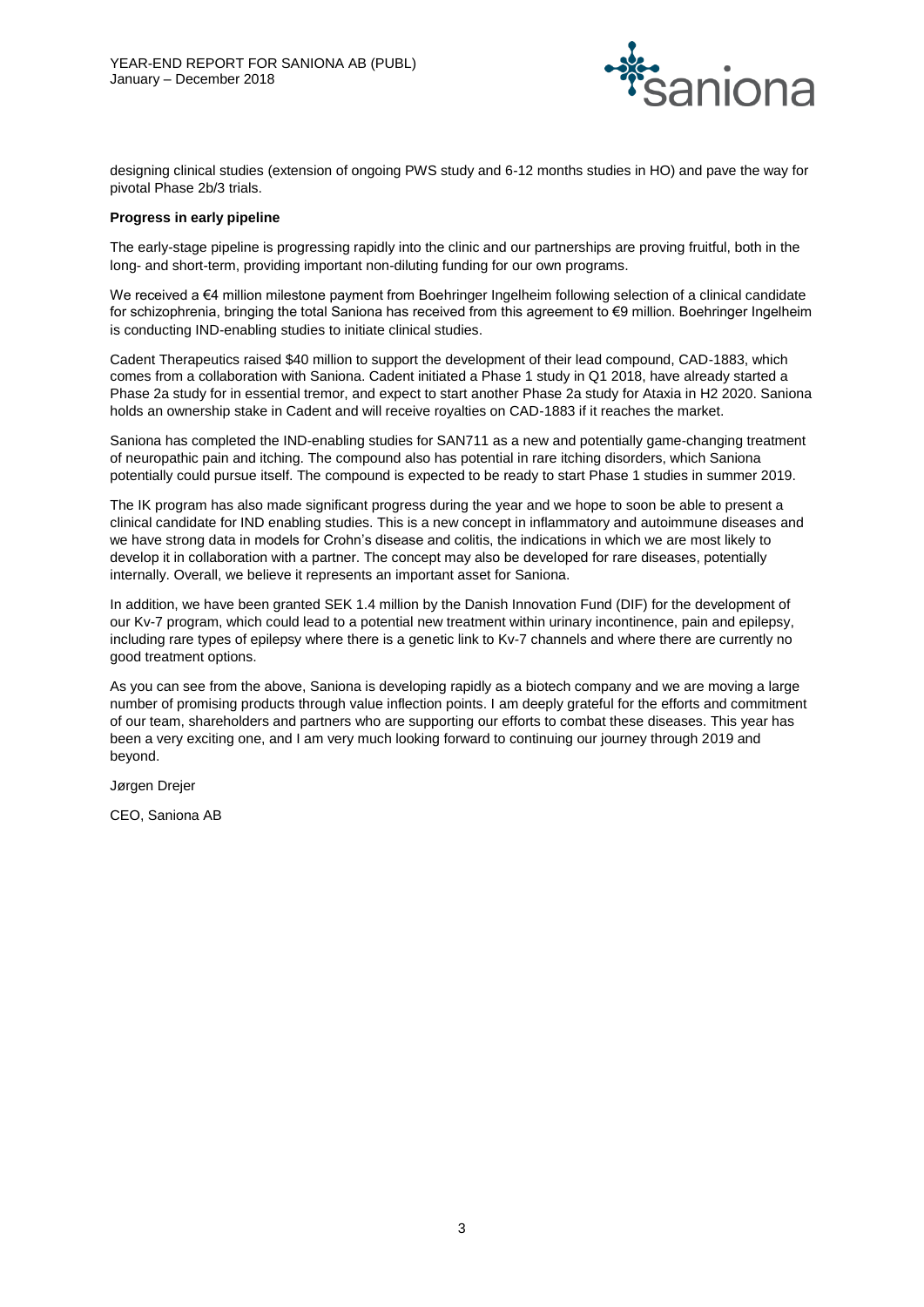

designing clinical studies (extension of ongoing PWS study and 6-12 months studies in HO) and pave the way for pivotal Phase 2b/3 trials.

#### **Progress in early pipeline**

The early-stage pipeline is progressing rapidly into the clinic and our partnerships are proving fruitful, both in the long- and short-term, providing important non-diluting funding for our own programs.

We received a €4 million milestone payment from Boehringer Ingelheim following selection of a clinical candidate for schizophrenia, bringing the total Saniona has received from this agreement to €9 million. Boehringer Ingelheim is conducting IND-enabling studies to initiate clinical studies.

Cadent Therapeutics raised \$40 million to support the development of their lead compound, CAD-1883, which comes from a collaboration with Saniona. Cadent initiated a Phase 1 study in Q1 2018, have already started a Phase 2a study for in essential tremor, and expect to start another Phase 2a study for Ataxia in H2 2020. Saniona holds an ownership stake in Cadent and will receive royalties on CAD-1883 if it reaches the market.

Saniona has completed the IND-enabling studies for SAN711 as a new and potentially game-changing treatment of neuropathic pain and itching. The compound also has potential in rare itching disorders, which Saniona potentially could pursue itself. The compound is expected to be ready to start Phase 1 studies in summer 2019.

The IK program has also made significant progress during the year and we hope to soon be able to present a clinical candidate for IND enabling studies. This is a new concept in inflammatory and autoimmune diseases and we have strong data in models for Crohn's disease and colitis, the indications in which we are most likely to develop it in collaboration with a partner. The concept may also be developed for rare diseases, potentially internally. Overall, we believe it represents an important asset for Saniona.

In addition, we have been granted SEK 1.4 million by the Danish Innovation Fund (DIF) for the development of our Kv-7 program, which could lead to a potential new treatment within urinary incontinence, pain and epilepsy, including rare types of epilepsy where there is a genetic link to Kv-7 channels and where there are currently no good treatment options.

As you can see from the above, Saniona is developing rapidly as a biotech company and we are moving a large number of promising products through value inflection points. I am deeply grateful for the efforts and commitment of our team, shareholders and partners who are supporting our efforts to combat these diseases. This year has been a very exciting one, and I am very much looking forward to continuing our journey through 2019 and beyond.

Jørgen Drejer

CEO, Saniona AB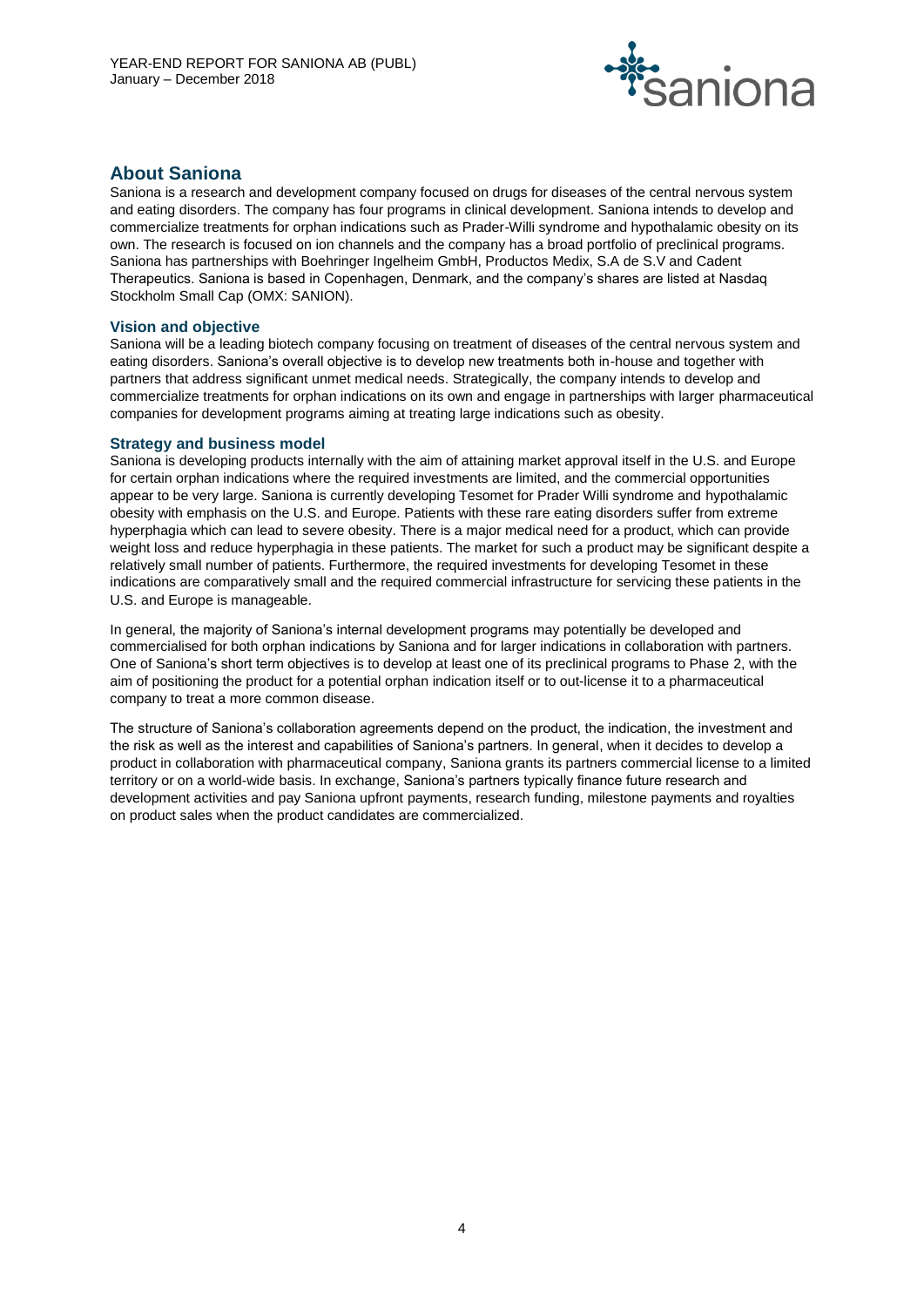

# **About Saniona**

Saniona is a research and development company focused on drugs for diseases of the central nervous system and eating disorders. The company has four programs in clinical development. Saniona intends to develop and commercialize treatments for orphan indications such as Prader-Willi syndrome and hypothalamic obesity on its own. The research is focused on ion channels and the company has a broad portfolio of preclinical programs. Saniona has partnerships with Boehringer Ingelheim GmbH, Productos Medix, S.A de S.V and Cadent Therapeutics. Saniona is based in Copenhagen, Denmark, and the company's shares are listed at Nasdaq Stockholm Small Cap (OMX: SANION).

#### **Vision and objective**

Saniona will be a leading biotech company focusing on treatment of diseases of the central nervous system and eating disorders. Saniona's overall objective is to develop new treatments both in-house and together with partners that address significant unmet medical needs. Strategically, the company intends to develop and commercialize treatments for orphan indications on its own and engage in partnerships with larger pharmaceutical companies for development programs aiming at treating large indications such as obesity.

#### **Strategy and business model**

Saniona is developing products internally with the aim of attaining market approval itself in the U.S. and Europe for certain orphan indications where the required investments are limited, and the commercial opportunities appear to be very large. Saniona is currently developing Tesomet for Prader Willi syndrome and hypothalamic obesity with emphasis on the U.S. and Europe. Patients with these rare eating disorders suffer from extreme hyperphagia which can lead to severe obesity. There is a major medical need for a product, which can provide weight loss and reduce hyperphagia in these patients. The market for such a product may be significant despite a relatively small number of patients. Furthermore, the required investments for developing Tesomet in these indications are comparatively small and the required commercial infrastructure for servicing these patients in the U.S. and Europe is manageable.

In general, the majority of Saniona's internal development programs may potentially be developed and commercialised for both orphan indications by Saniona and for larger indications in collaboration with partners. One of Saniona's short term objectives is to develop at least one of its preclinical programs to Phase 2, with the aim of positioning the product for a potential orphan indication itself or to out-license it to a pharmaceutical company to treat a more common disease.

The structure of Saniona's collaboration agreements depend on the product, the indication, the investment and the risk as well as the interest and capabilities of Saniona's partners. In general, when it decides to develop a product in collaboration with pharmaceutical company, Saniona grants its partners commercial license to a limited territory or on a world-wide basis. In exchange, Saniona's partners typically finance future research and development activities and pay Saniona upfront payments, research funding, milestone payments and royalties on product sales when the product candidates are commercialized.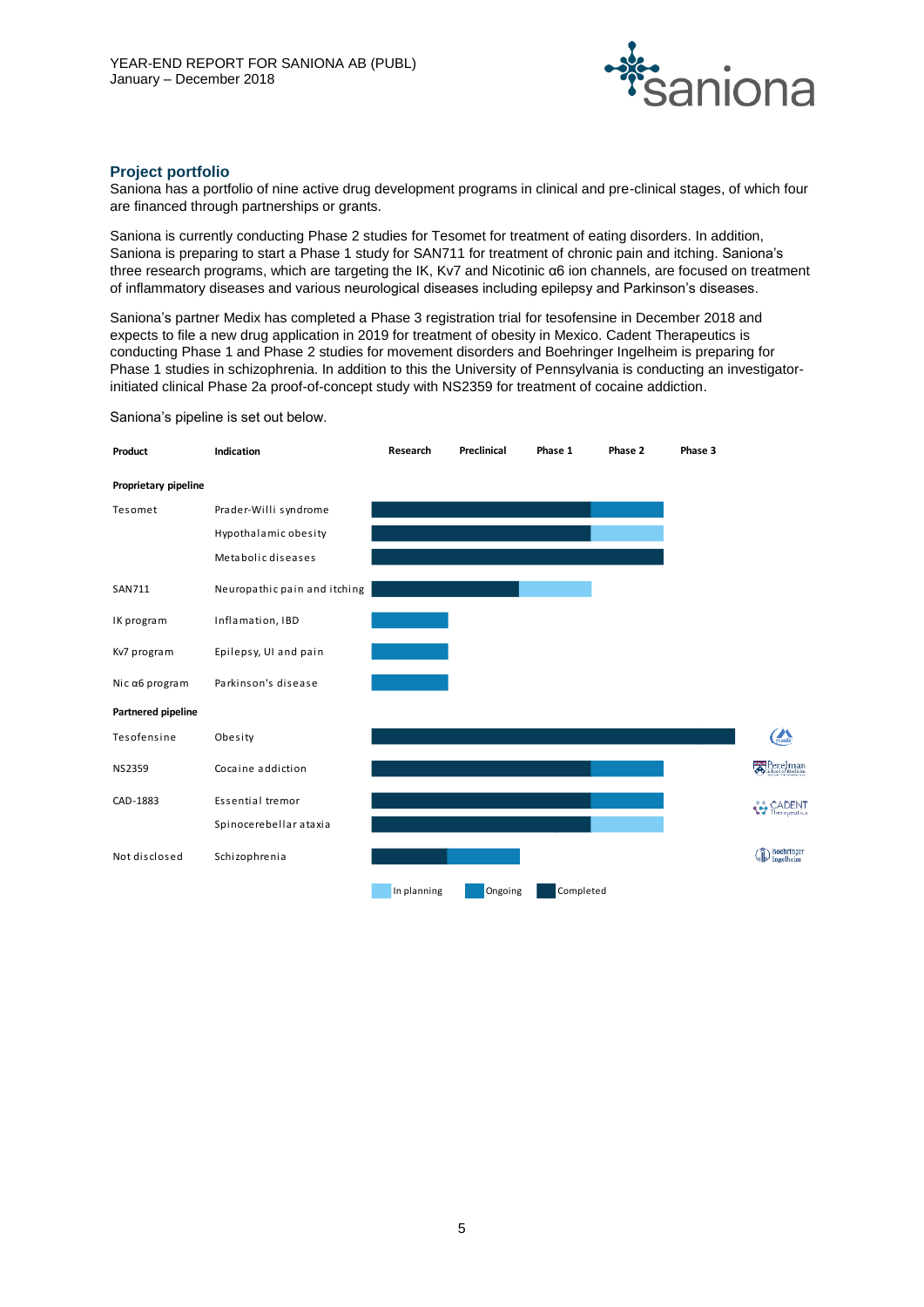

#### **Project portfolio**

Saniona has a portfolio of nine active drug development programs in clinical and pre-clinical stages, of which four are financed through partnerships or grants.

Saniona is currently conducting Phase 2 studies for Tesomet for treatment of eating disorders. In addition, Saniona is preparing to start a Phase 1 study for SAN711 for treatment of chronic pain and itching. Saniona's three research programs, which are targeting the IK, Kv7 and Nicotinic α6 ion channels, are focused on treatment of inflammatory diseases and various neurological diseases including epilepsy and Parkinson's diseases.

Saniona's partner Medix has completed a Phase 3 registration trial for tesofensine in December 2018 and expects to file a new drug application in 2019 for treatment of obesity in Mexico. Cadent Therapeutics is conducting Phase 1 and Phase 2 studies for movement disorders and Boehringer Ingelheim is preparing for Phase 1 studies in schizophrenia. In addition to this the University of Pennsylvania is conducting an investigatorinitiated clinical Phase 2a proof-of-concept study with NS2359 for treatment of cocaine addiction.

Saniona's pipeline is set out below.

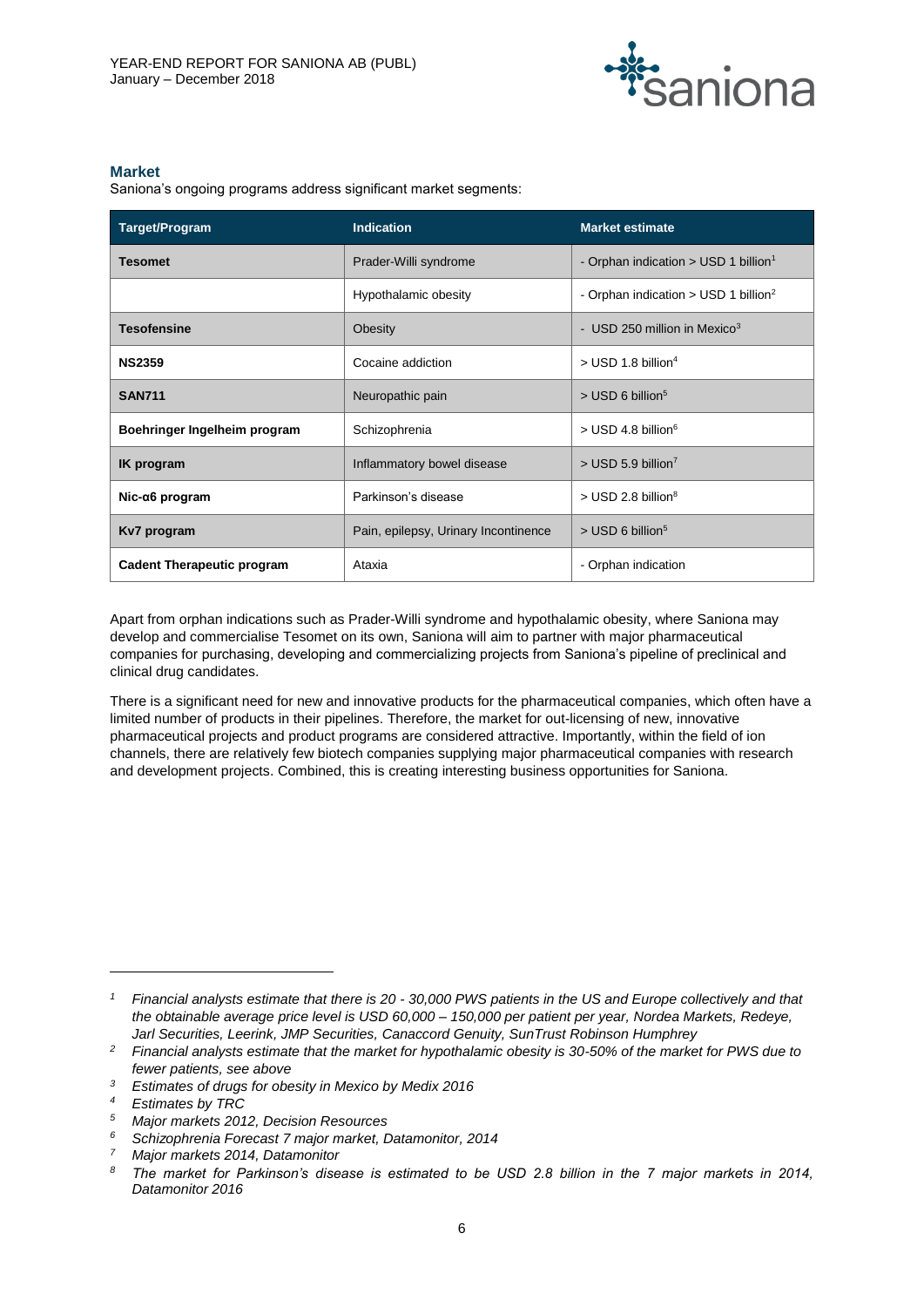

#### **Market**

Saniona's ongoing programs address significant market segments:

| Target/Program                    | <b>Indication</b>                    | <b>Market estimate</b>                             |
|-----------------------------------|--------------------------------------|----------------------------------------------------|
| <b>Tesomet</b>                    | Prader-Willi syndrome                | - Orphan indication > USD 1 billion <sup>1</sup>   |
|                                   | Hypothalamic obesity                 | - Orphan indication $>$ USD 1 billion <sup>2</sup> |
| <b>Tesofensine</b>                | Obesity                              | - USD 250 million in Mexico <sup>3</sup>           |
| <b>NS2359</b>                     | Cocaine addiction                    | $>$ USD 1.8 billion <sup>4</sup>                   |
| <b>SAN711</b>                     | Neuropathic pain                     | $>$ USD 6 billion <sup>5</sup>                     |
| Boehringer Ingelheim program      | Schizophrenia                        | $>$ USD 4.8 billion <sup>6</sup>                   |
| IK program                        | Inflammatory bowel disease           | $>$ USD 5.9 billion <sup>7</sup>                   |
| Nic-α6 program                    | Parkinson's disease                  | $>$ USD 2.8 billion <sup>8</sup>                   |
| Kv7 program                       | Pain, epilepsy, Urinary Incontinence | $>$ USD 6 billion <sup>5</sup>                     |
| <b>Cadent Therapeutic program</b> | Ataxia                               | - Orphan indication                                |

Apart from orphan indications such as Prader-Willi syndrome and hypothalamic obesity, where Saniona may develop and commercialise Tesomet on its own, Saniona will aim to partner with major pharmaceutical companies for purchasing, developing and commercializing projects from Saniona's pipeline of preclinical and clinical drug candidates.

There is a significant need for new and innovative products for the pharmaceutical companies, which often have a limited number of products in their pipelines. Therefore, the market for out-licensing of new, innovative pharmaceutical projects and product programs are considered attractive. Importantly, within the field of ion channels, there are relatively few biotech companies supplying major pharmaceutical companies with research and development projects. Combined, this is creating interesting business opportunities for Saniona.

 $\overline{a}$ 

*<sup>1</sup> Financial analysts estimate that there is 20 - 30,000 PWS patients in the US and Europe collectively and that the obtainable average price level is USD 60,000 – 150,000 per patient per year, Nordea Markets, Redeye, Jarl Securities, Leerink, JMP Securities, Canaccord Genuity, SunTrust Robinson Humphrey*

*<sup>2</sup> Financial analysts estimate that the market for hypothalamic obesity is 30-50% of the market for PWS due to fewer patients, see above*

*<sup>3</sup> Estimates of drugs for obesity in Mexico by Medix 2016*

*<sup>4</sup> Estimates by TRC*

*<sup>5</sup> Major markets 2012, Decision Resources*

*<sup>6</sup> Schizophrenia Forecast 7 major market, Datamonitor, 2014*

*<sup>7</sup> Major markets 2014, Datamonitor*

*<sup>8</sup> The market for Parkinson's disease is estimated to be USD 2.8 billion in the 7 major markets in 2014, Datamonitor 2016*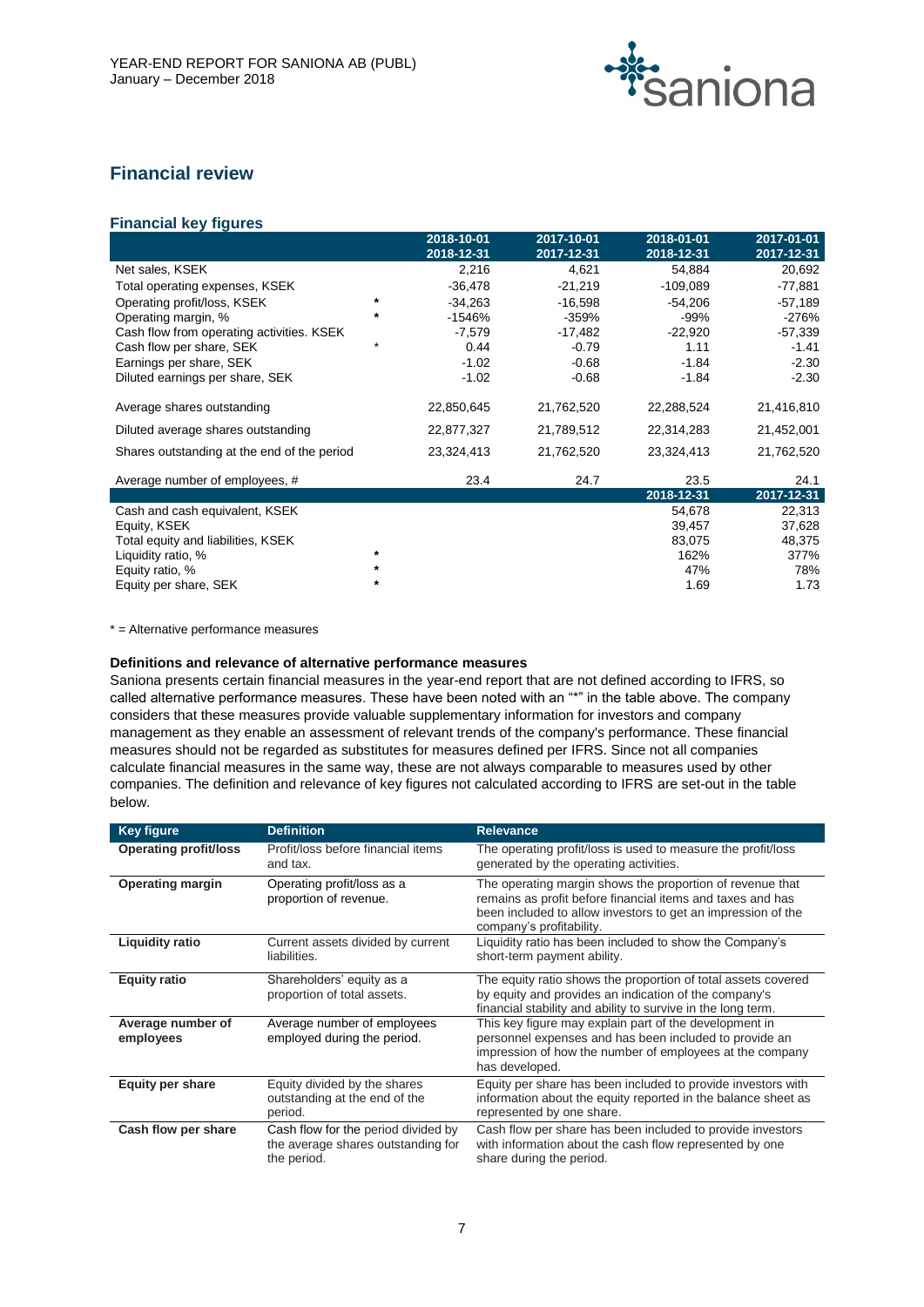

# **Financial review**

# **Financial key figures**

|                                             |         | 2018-10-01 | 2017-10-01 | 2018-01-01 | 2017-01-01 |
|---------------------------------------------|---------|------------|------------|------------|------------|
|                                             |         | 2018-12-31 | 2017-12-31 | 2018-12-31 | 2017-12-31 |
| Net sales, KSEK                             |         | 2,216      | 4,621      | 54,884     | 20,692     |
| Total operating expenses, KSEK              |         | -36,478    | $-21,219$  | $-109,089$ | $-77,881$  |
| Operating profit/loss, KSEK                 | *       | $-34,263$  | $-16,598$  | $-54,206$  | $-57,189$  |
| Operating margin, %                         | $\ast$  | $-1546%$   | $-359%$    | -99%       | -276%      |
| Cash flow from operating activities. KSEK   |         | $-7,579$   | -17,482    | $-22,920$  | $-57,339$  |
| Cash flow per share, SEK                    | $\star$ | 0.44       | $-0.79$    | 1.11       | $-1.41$    |
| Earnings per share, SEK                     |         | $-1.02$    | $-0.68$    | $-1.84$    | $-2.30$    |
| Diluted earnings per share, SEK             |         | $-1.02$    | $-0.68$    | $-1.84$    | $-2.30$    |
| Average shares outstanding                  |         | 22,850,645 | 21,762,520 | 22,288,524 | 21,416,810 |
| Diluted average shares outstanding          |         | 22,877,327 | 21,789,512 | 22,314,283 | 21,452,001 |
| Shares outstanding at the end of the period |         | 23,324,413 | 21,762,520 | 23,324,413 | 21,762,520 |
| Average number of employees, #              |         | 23.4       | 24.7       | 23.5       | 24.1       |
|                                             |         |            |            | 2018-12-31 | 2017-12-31 |
| Cash and cash equivalent, KSEK              |         |            |            | 54,678     | 22,313     |
| Equity, KSEK                                |         |            |            | 39,457     | 37,628     |
| Total equity and liabilities, KSEK          |         |            |            | 83,075     | 48,375     |
| Liquidity ratio, %                          | $\star$ |            |            | 162%       | 377%       |
| Equity ratio, %                             | $\ast$  |            |            | 47%        | 78%        |
| Equity per share, SEK                       | $\ast$  |            |            | 1.69       | 1.73       |

\* = Alternative performance measures

#### **Definitions and relevance of alternative performance measures**

Saniona presents certain financial measures in the year-end report that are not defined according to IFRS, so called alternative performance measures. These have been noted with an "\*" in the table above. The company considers that these measures provide valuable supplementary information for investors and company management as they enable an assessment of relevant trends of the company's performance. These financial measures should not be regarded as substitutes for measures defined per IFRS. Since not all companies calculate financial measures in the same way, these are not always comparable to measures used by other companies. The definition and relevance of key figures not calculated according to IFRS are set-out in the table below.

| <b>Key figure</b>              | <b>Definition</b>                                                                        | <b>Relevance</b>                                                                                                                                                                                                    |
|--------------------------------|------------------------------------------------------------------------------------------|---------------------------------------------------------------------------------------------------------------------------------------------------------------------------------------------------------------------|
| <b>Operating profit/loss</b>   | Profit/loss before financial items<br>and tax.                                           | The operating profit/loss is used to measure the profit/loss<br>generated by the operating activities.                                                                                                              |
| <b>Operating margin</b>        | Operating profit/loss as a<br>proportion of revenue.                                     | The operating margin shows the proportion of revenue that<br>remains as profit before financial items and taxes and has<br>been included to allow investors to get an impression of the<br>company's profitability. |
| <b>Liquidity ratio</b>         | Current assets divided by current<br>liabilities.                                        | Liquidity ratio has been included to show the Company's<br>short-term payment ability.                                                                                                                              |
| <b>Equity ratio</b>            | Shareholders' equity as a<br>proportion of total assets.                                 | The equity ratio shows the proportion of total assets covered<br>by equity and provides an indication of the company's<br>financial stability and ability to survive in the long term.                              |
| Average number of<br>employees | Average number of employees<br>employed during the period.                               | This key figure may explain part of the development in<br>personnel expenses and has been included to provide an<br>impression of how the number of employees at the company<br>has developed.                      |
| <b>Equity per share</b>        | Equity divided by the shares<br>outstanding at the end of the<br>period.                 | Equity per share has been included to provide investors with<br>information about the equity reported in the balance sheet as<br>represented by one share.                                                          |
| Cash flow per share            | Cash flow for the period divided by<br>the average shares outstanding for<br>the period. | Cash flow per share has been included to provide investors<br>with information about the cash flow represented by one<br>share during the period.                                                                   |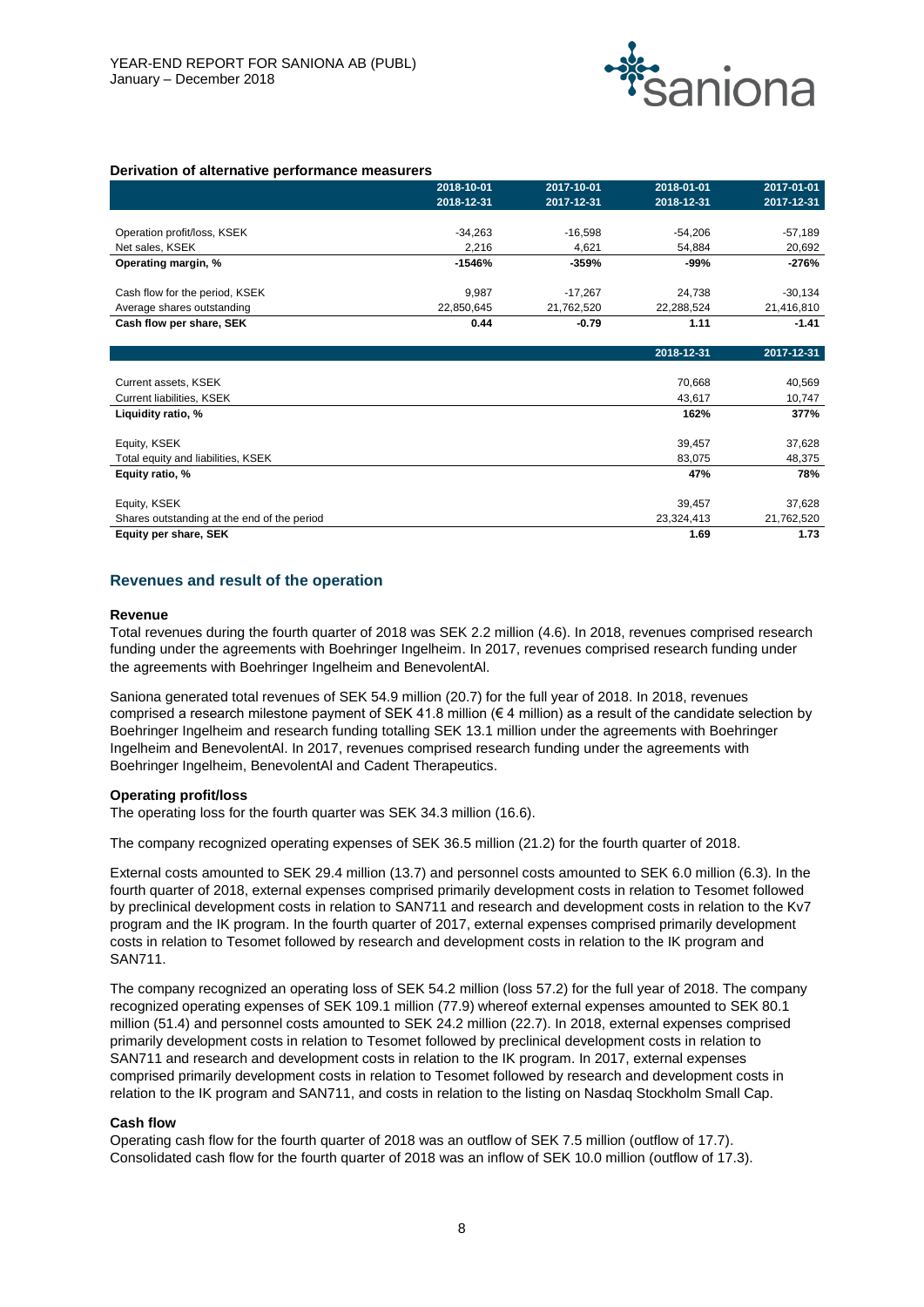

#### **Derivation of alternative performance measurers**

|                                | 2018-10-01 | 2017-10-01 | 2018-01-01 | 2017-01-01 |
|--------------------------------|------------|------------|------------|------------|
|                                | 2018-12-31 | 2017-12-31 | 2018-12-31 | 2017-12-31 |
|                                |            |            |            |            |
| Operation profit/loss, KSEK    | $-34.263$  | $-16.598$  | $-54.206$  | $-57,189$  |
| Net sales, KSEK                | 2.216      | 4.621      | 54,884     | 20,692     |
| Operating margin, %            | $-1546%$   | -359%      | -99%       | -276%      |
|                                |            |            |            |            |
| Cash flow for the period, KSEK | 9.987      | $-17.267$  | 24.738     | $-30.134$  |
| Average shares outstanding     | 22.850.645 | 21,762,520 | 22,288,524 | 21,416,810 |
| Cash flow per share, SEK       | 0.44       | $-0.79$    | 1.11       | $-1.41$    |

|                                             | 2018-12-31 | 2017-12-31 |
|---------------------------------------------|------------|------------|
|                                             |            |            |
| Current assets, KSEK                        | 70,668     | 40,569     |
| Current liabilities, KSEK                   | 43.617     | 10,747     |
| Liquidity ratio, %                          | 162%       | 377%       |
| Equity, KSEK                                | 39,457     | 37,628     |
| Total equity and liabilities, KSEK          | 83.075     | 48,375     |
| Equity ratio, %                             | 47%        | 78%        |
| Equity, KSEK                                | 39.457     | 37,628     |
| Shares outstanding at the end of the period | 23,324,413 | 21,762,520 |
| Equity per share, SEK                       | 1.69       | 1.73       |

#### **Revenues and result of the operation**

#### **Revenue**

Total revenues during the fourth quarter of 2018 was SEK 2.2 million (4.6). In 2018, revenues comprised research funding under the agreements with Boehringer Ingelheim. In 2017, revenues comprised research funding under the agreements with Boehringer Ingelheim and BenevolentAl.

Saniona generated total revenues of SEK 54.9 million (20.7) for the full year of 2018. In 2018, revenues comprised a research milestone payment of SEK 41.8 million ( $\epsilon$  4 million) as a result of the candidate selection by Boehringer Ingelheim and research funding totalling SEK 13.1 million under the agreements with Boehringer Ingelheim and BenevolentAl. In 2017, revenues comprised research funding under the agreements with Boehringer Ingelheim, BenevolentAl and Cadent Therapeutics.

#### **Operating profit/loss**

The operating loss for the fourth quarter was SEK 34.3 million (16.6).

The company recognized operating expenses of SEK 36.5 million (21.2) for the fourth quarter of 2018.

External costs amounted to SEK 29.4 million (13.7) and personnel costs amounted to SEK 6.0 million (6.3). In the fourth quarter of 2018, external expenses comprised primarily development costs in relation to Tesomet followed by preclinical development costs in relation to SAN711 and research and development costs in relation to the Kv7 program and the IK program. In the fourth quarter of 2017, external expenses comprised primarily development costs in relation to Tesomet followed by research and development costs in relation to the IK program and SAN711.

The company recognized an operating loss of SEK 54.2 million (loss 57.2) for the full year of 2018. The company recognized operating expenses of SEK 109.1 million (77.9) whereof external expenses amounted to SEK 80.1 million (51.4) and personnel costs amounted to SEK 24.2 million (22.7). In 2018, external expenses comprised primarily development costs in relation to Tesomet followed by preclinical development costs in relation to SAN711 and research and development costs in relation to the IK program. In 2017, external expenses comprised primarily development costs in relation to Tesomet followed by research and development costs in relation to the IK program and SAN711, and costs in relation to the listing on Nasdaq Stockholm Small Cap.

#### **Cash flow**

Operating cash flow for the fourth quarter of 2018 was an outflow of SEK 7.5 million (outflow of 17.7). Consolidated cash flow for the fourth quarter of 2018 was an inflow of SEK 10.0 million (outflow of 17.3).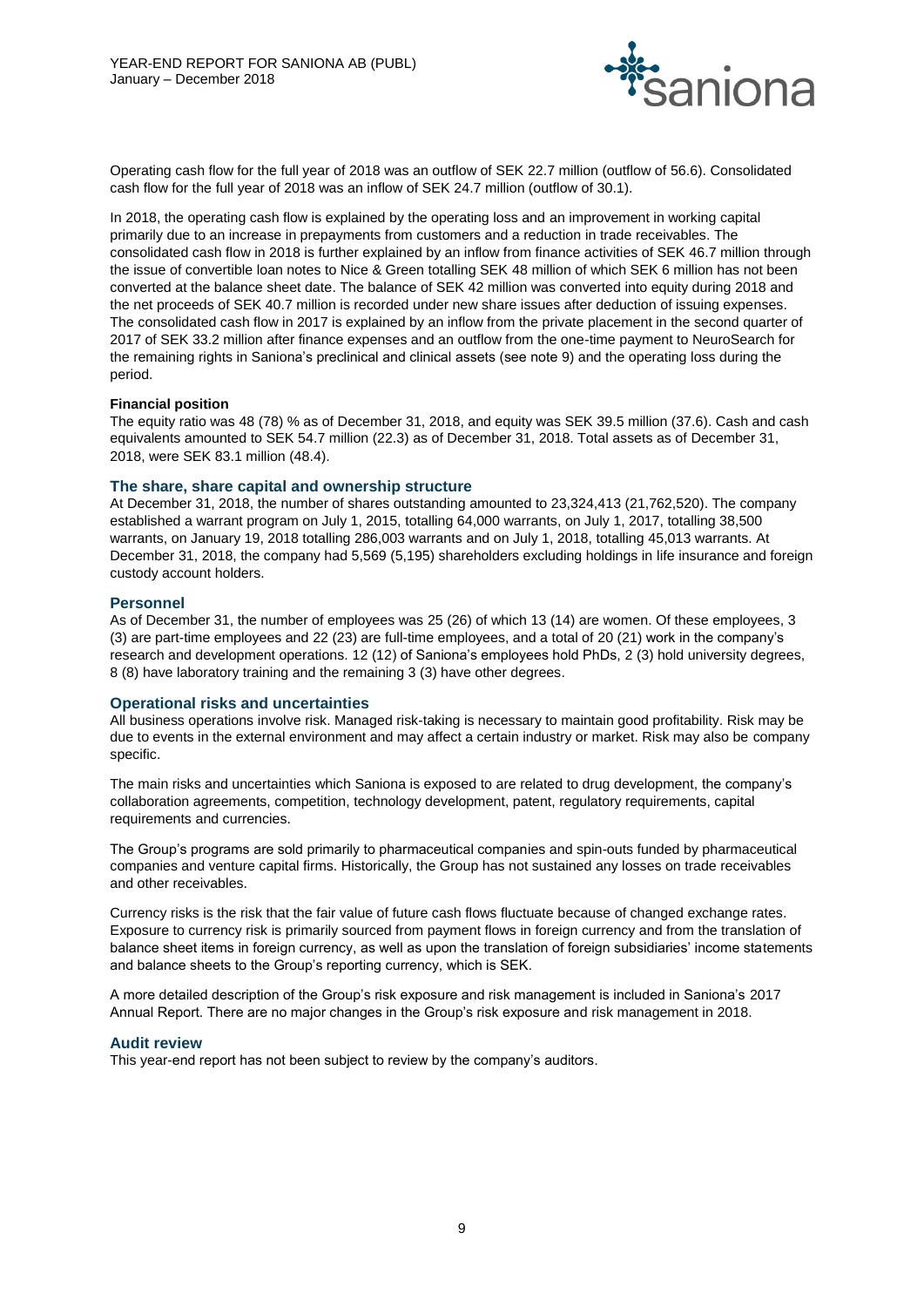

Operating cash flow for the full year of 2018 was an outflow of SEK 22.7 million (outflow of 56.6). Consolidated cash flow for the full year of 2018 was an inflow of SEK 24.7 million (outflow of 30.1).

In 2018, the operating cash flow is explained by the operating loss and an improvement in working capital primarily due to an increase in prepayments from customers and a reduction in trade receivables. The consolidated cash flow in 2018 is further explained by an inflow from finance activities of SEK 46.7 million through the issue of convertible loan notes to Nice & Green totalling SEK 48 million of which SEK 6 million has not been converted at the balance sheet date. The balance of SEK 42 million was converted into equity during 2018 and the net proceeds of SEK 40.7 million is recorded under new share issues after deduction of issuing expenses. The consolidated cash flow in 2017 is explained by an inflow from the private placement in the second quarter of 2017 of SEK 33.2 million after finance expenses and an outflow from the one-time payment to NeuroSearch for the remaining rights in Saniona's preclinical and clinical assets (see note 9) and the operating loss during the period.

#### **Financial position**

The equity ratio was 48 (78) % as of December 31, 2018, and equity was SEK 39.5 million (37.6). Cash and cash equivalents amounted to SEK 54.7 million (22.3) as of December 31, 2018. Total assets as of December 31, 2018, were SEK 83.1 million (48.4).

#### **The share, share capital and ownership structure**

At December 31, 2018, the number of shares outstanding amounted to 23,324,413 (21,762,520). The company established a warrant program on July 1, 2015, totalling 64,000 warrants, on July 1, 2017, totalling 38,500 warrants, on January 19, 2018 totalling 286,003 warrants and on July 1, 2018, totalling 45,013 warrants. At December 31, 2018, the company had 5,569 (5,195) shareholders excluding holdings in life insurance and foreign custody account holders.

#### **Personnel**

As of December 31, the number of employees was 25 (26) of which 13 (14) are women. Of these employees, 3 (3) are part-time employees and 22 (23) are full-time employees, and a total of 20 (21) work in the company's research and development operations. 12 (12) of Saniona's employees hold PhDs, 2 (3) hold university degrees, 8 (8) have laboratory training and the remaining 3 (3) have other degrees.

#### **Operational risks and uncertainties**

All business operations involve risk. Managed risk-taking is necessary to maintain good profitability. Risk may be due to events in the external environment and may affect a certain industry or market. Risk may also be company specific.

The main risks and uncertainties which Saniona is exposed to are related to drug development, the company's collaboration agreements, competition, technology development, patent, regulatory requirements, capital requirements and currencies.

The Group's programs are sold primarily to pharmaceutical companies and spin-outs funded by pharmaceutical companies and venture capital firms. Historically, the Group has not sustained any losses on trade receivables and other receivables.

Currency risks is the risk that the fair value of future cash flows fluctuate because of changed exchange rates. Exposure to currency risk is primarily sourced from payment flows in foreign currency and from the translation of balance sheet items in foreign currency, as well as upon the translation of foreign subsidiaries' income statements and balance sheets to the Group's reporting currency, which is SEK.

A more detailed description of the Group's risk exposure and risk management is included in Saniona's 2017 Annual Report. There are no major changes in the Group's risk exposure and risk management in 2018.

#### **Audit review**

This year-end report has not been subject to review by the company's auditors.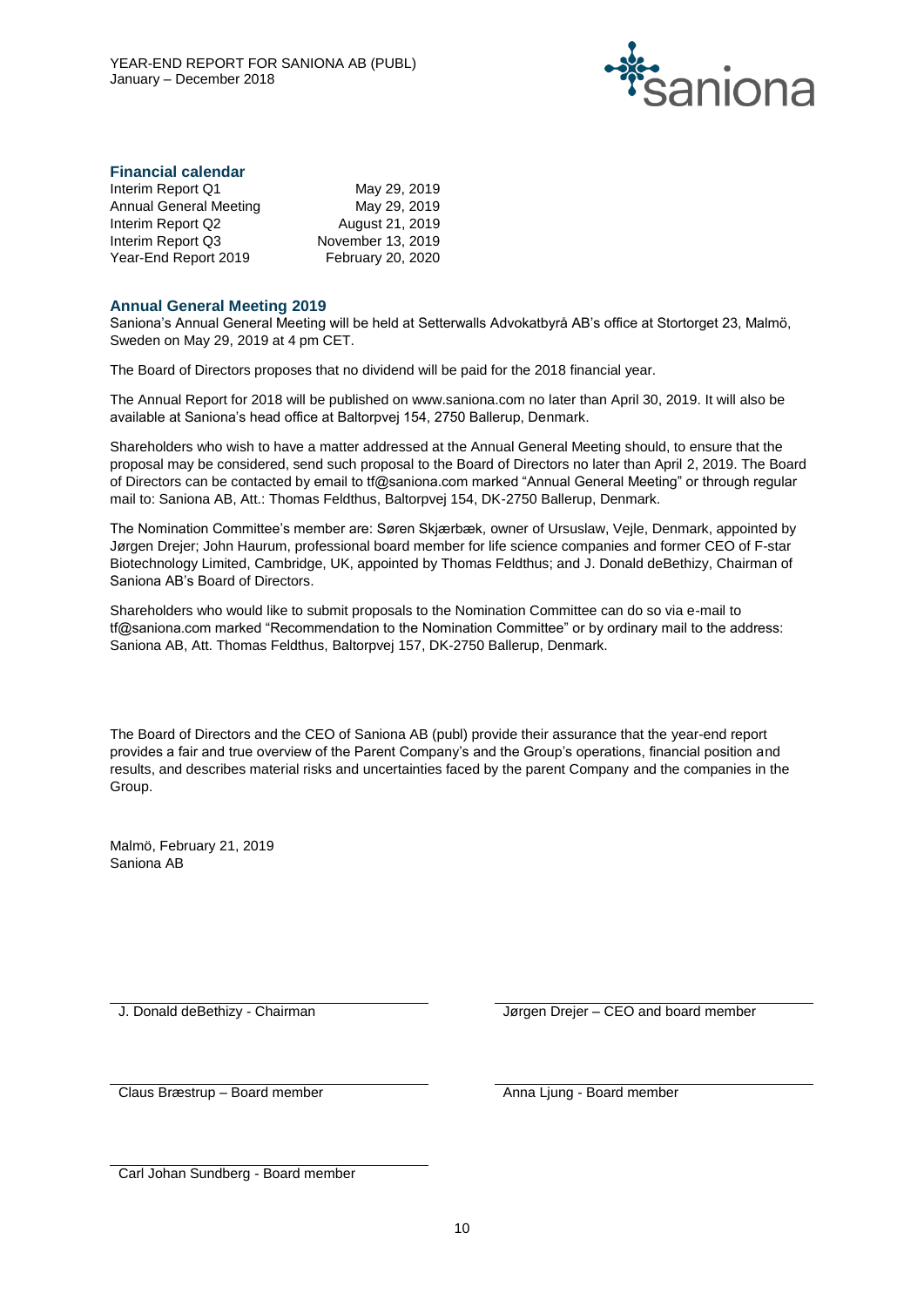

#### **Financial calendar**

| Interim Report Q1             | May 29, 2019      |
|-------------------------------|-------------------|
| <b>Annual General Meeting</b> | May 29, 2019      |
| Interim Report Q2             | August 21, 2019   |
| Interim Report Q3             | November 13, 2019 |
| Year-End Report 2019          | February 20, 2020 |

#### **Annual General Meeting 2019**

Saniona's Annual General Meeting will be held at Setterwalls Advokatbyrå AB's office at Stortorget 23, Malmö, Sweden on May 29, 2019 at 4 pm CET.

The Board of Directors proposes that no dividend will be paid for the 2018 financial year.

The Annual Report for 2018 will be published on www.saniona.com no later than April 30, 2019. It will also be available at Saniona's head office at Baltorpvej 154, 2750 Ballerup, Denmark.

Shareholders who wish to have a matter addressed at the Annual General Meeting should, to ensure that the proposal may be considered, send such proposal to the Board of Directors no later than April 2, 2019. The Board of Directors can be contacted by email to tf@saniona.com marked "Annual General Meeting" or through regular mail to: Saniona AB, Att.: Thomas Feldthus, Baltorpvej 154, DK-2750 Ballerup, Denmark.

The Nomination Committee's member are: Søren Skjærbæk, owner of Ursuslaw, Vejle, Denmark, appointed by Jørgen Drejer; John Haurum, professional board member for life science companies and former CEO of F-star Biotechnology Limited, Cambridge, UK, appointed by Thomas Feldthus; and J. Donald deBethizy, Chairman of Saniona AB's Board of Directors.

Shareholders who would like to submit proposals to the Nomination Committee can do so via e-mail to tf@saniona.com marked "Recommendation to the Nomination Committee" or by ordinary mail to the address: Saniona AB, Att. Thomas Feldthus, Baltorpvej 157, DK-2750 Ballerup, Denmark.

The Board of Directors and the CEO of Saniona AB (publ) provide their assurance that the year-end report provides a fair and true overview of the Parent Company's and the Group's operations, financial position and results, and describes material risks and uncertainties faced by the parent Company and the companies in the Group.

Malmö, February 21, 2019 Saniona AB

J. Donald deBethizy - Chairman Jørgen Drejer – CEO and board member

Claus Bræstrup – Board member Anna Ljung - Board member

Carl Johan Sundberg - Board member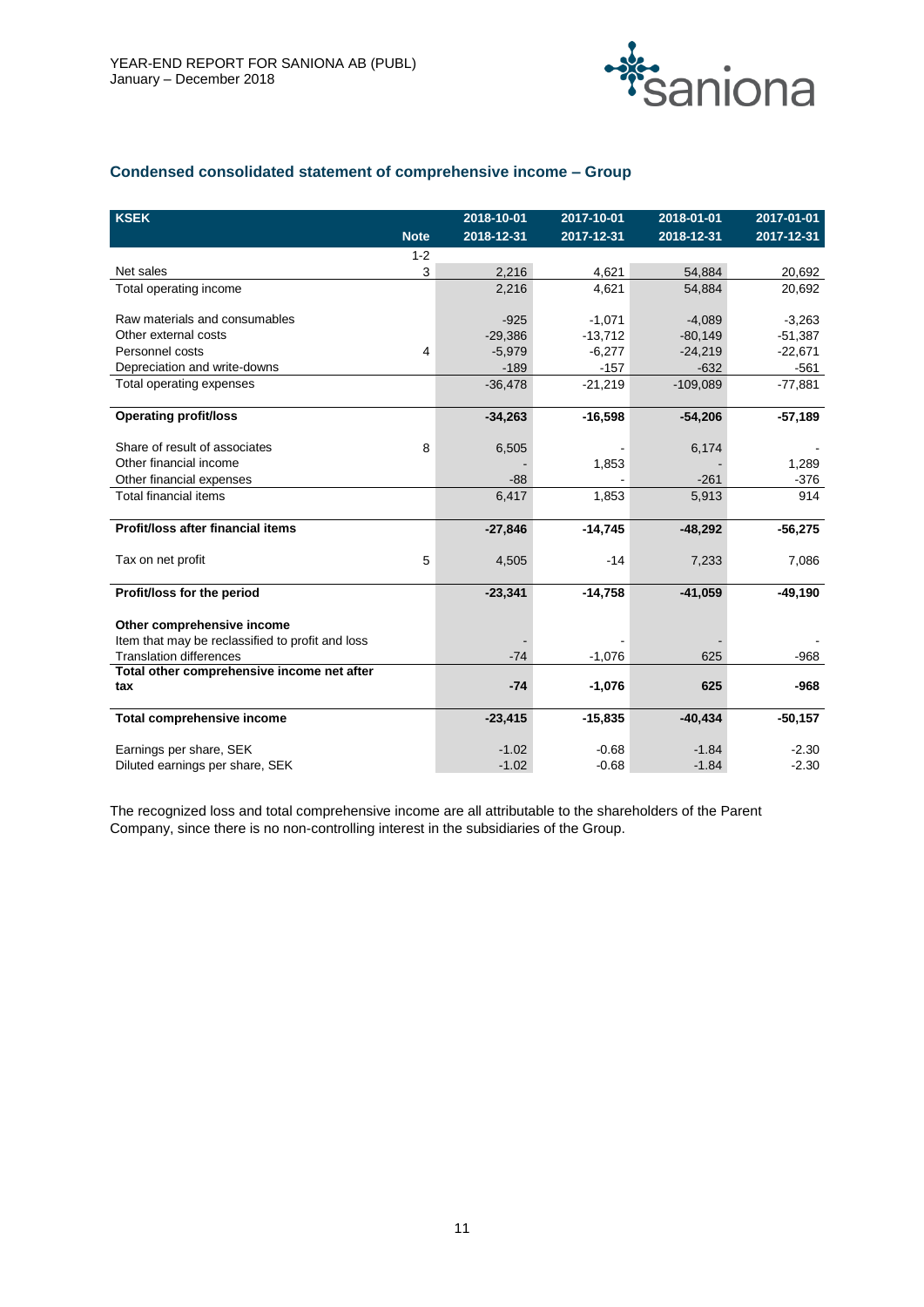

# **Condensed consolidated statement of comprehensive income – Group**

| <b>KSEK</b>                                      |             | 2018-10-01 | 2017-10-01 | 2018-01-01 | $2017 - 01 - 01$ |
|--------------------------------------------------|-------------|------------|------------|------------|------------------|
|                                                  | <b>Note</b> | 2018-12-31 | 2017-12-31 | 2018-12-31 | 2017-12-31       |
|                                                  | $1 - 2$     |            |            |            |                  |
| Net sales                                        | 3           | 2,216      | 4,621      | 54,884     | 20,692           |
| Total operating income                           |             | 2,216      | 4.621      | 54,884     | 20,692           |
|                                                  |             |            |            |            |                  |
| Raw materials and consumables                    |             | $-925$     | $-1,071$   | $-4,089$   | $-3,263$         |
| Other external costs                             |             | $-29,386$  | $-13,712$  | $-80,149$  | $-51,387$        |
| Personnel costs                                  | 4           | $-5,979$   | $-6,277$   | $-24,219$  | $-22,671$        |
| Depreciation and write-downs                     |             | $-189$     | $-157$     | $-632$     | $-561$           |
| Total operating expenses                         |             | $-36,478$  | $-21,219$  | $-109,089$ | $-77,881$        |
|                                                  |             |            |            |            |                  |
| <b>Operating profit/loss</b>                     |             | $-34,263$  | $-16,598$  | $-54,206$  | $-57,189$        |
|                                                  |             |            |            |            |                  |
| Share of result of associates                    | 8           | 6,505      |            | 6,174      |                  |
| Other financial income                           |             |            | 1,853      |            | 1,289            |
| Other financial expenses                         |             | $-88$      |            | $-261$     | $-376$           |
| <b>Total financial items</b>                     |             | 6,417      | 1,853      | 5,913      | 914              |
|                                                  |             |            |            |            |                  |
| Profit/loss after financial items                |             | $-27,846$  | $-14,745$  | $-48,292$  | $-56,275$        |
|                                                  |             |            |            |            |                  |
| Tax on net profit                                | 5           | 4,505      | $-14$      | 7,233      | 7,086            |
| Profit/loss for the period                       |             | $-23,341$  | $-14,758$  | $-41,059$  | $-49,190$        |
|                                                  |             |            |            |            |                  |
| Other comprehensive income                       |             |            |            |            |                  |
| Item that may be reclassified to profit and loss |             |            |            |            |                  |
| <b>Translation differences</b>                   |             | $-74$      | $-1,076$   | 625        | $-968$           |
| Total other comprehensive income net after       |             |            |            |            |                  |
| tax                                              |             | $-74$      | $-1,076$   | 625        | $-968$           |
|                                                  |             |            |            |            |                  |
| Total comprehensive income                       |             | $-23,415$  | $-15,835$  | $-40,434$  | $-50,157$        |
|                                                  |             | $-1.02$    | $-0.68$    | $-1.84$    |                  |
| Earnings per share, SEK                          |             |            |            |            | $-2.30$          |
| Diluted earnings per share, SEK                  |             | $-1.02$    | $-0.68$    | $-1.84$    | $-2.30$          |

The recognized loss and total comprehensive income are all attributable to the shareholders of the Parent Company, since there is no non-controlling interest in the subsidiaries of the Group.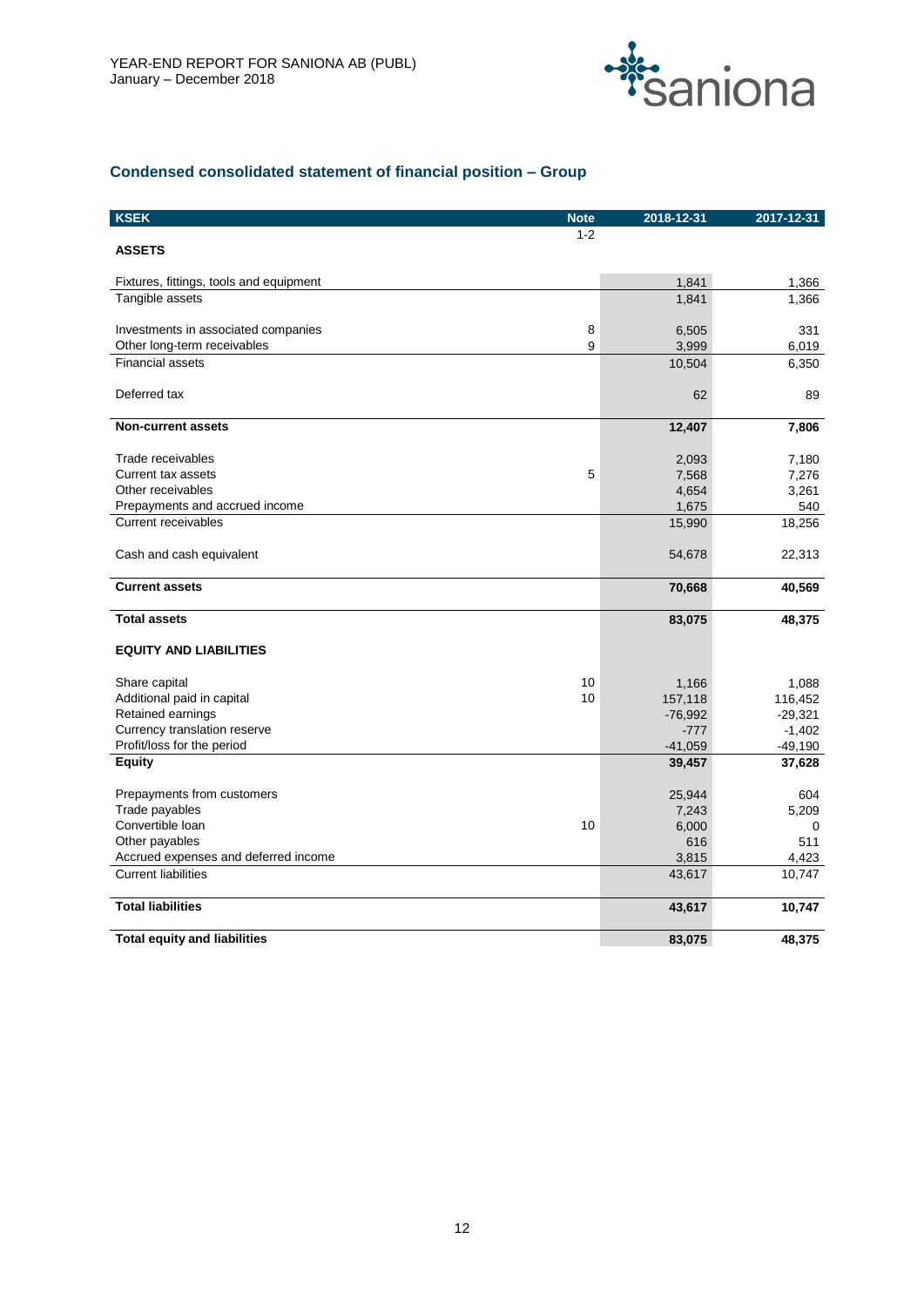

# **Condensed consolidated statement of financial position – Group**

| <b>KSEK</b>                             | <b>Note</b> | 2018-12-31 | 2017-12-31 |
|-----------------------------------------|-------------|------------|------------|
|                                         | $1 - 2$     |            |            |
| <b>ASSETS</b>                           |             |            |            |
| Fixtures, fittings, tools and equipment |             | 1,841      | 1,366      |
| Tangible assets                         |             | 1,841      | 1,366      |
|                                         |             |            |            |
| Investments in associated companies     | 8           | 6,505      | 331        |
| Other long-term receivables             | 9           | 3,999      | 6,019      |
| <b>Financial assets</b>                 |             | 10,504     | 6,350      |
|                                         |             |            |            |
| Deferred tax                            |             | 62         | 89         |
| <b>Non-current assets</b>               |             | 12,407     | 7,806      |
| Trade receivables                       |             | 2,093      | 7,180      |
| Current tax assets                      | 5           | 7,568      | 7,276      |
| Other receivables                       |             | 4,654      | 3,261      |
| Prepayments and accrued income          |             | 1,675      | 540        |
| Current receivables                     |             | 15,990     | 18,256     |
| Cash and cash equivalent                |             | 54,678     | 22,313     |
| <b>Current assets</b>                   |             | 70,668     | 40,569     |
| <b>Total assets</b>                     |             | 83,075     | 48,375     |
| <b>EQUITY AND LIABILITIES</b>           |             |            |            |
| Share capital                           | 10          | 1,166      | 1,088      |
| Additional paid in capital              | 10          | 157,118    | 116,452    |
| Retained earnings                       |             | $-76,992$  | $-29,321$  |
| Currency translation reserve            |             | $-777$     | $-1,402$   |
| Profit/loss for the period              |             | $-41,059$  | $-49,190$  |
| <b>Equity</b>                           |             | 39,457     | 37,628     |
| Prepayments from customers              |             | 25,944     | 604        |
| Trade payables                          |             | 7,243      | 5,209      |
| Convertible loan                        | 10          | 6,000      | 0          |
| Other payables                          |             | 616        | 511        |
| Accrued expenses and deferred income    |             | 3,815      | 4,423      |
| <b>Current liabilities</b>              |             | 43,617     | 10,747     |
| <b>Total liabilities</b>                |             | 43,617     | 10,747     |
| <b>Total equity and liabilities</b>     |             | 83.075     | 48,375     |
|                                         |             |            |            |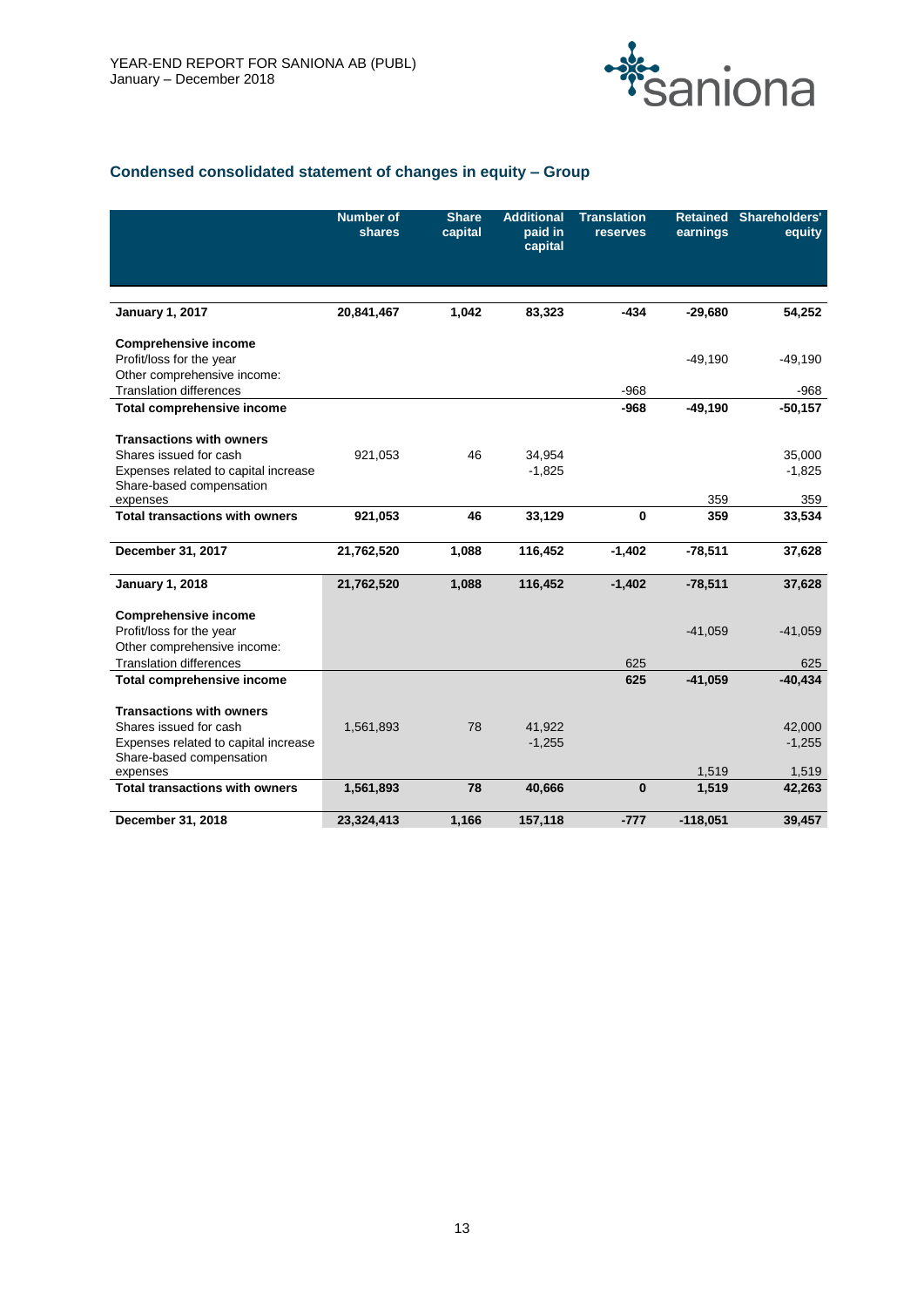

# **Condensed consolidated statement of changes in equity – Group**

|                                                                  | <b>Number of</b><br>shares | <b>Share</b><br>capital | <b>Additional</b><br>paid in<br>capital | <b>Translation</b><br>reserves | <b>Retained</b><br>earnings | Shareholders'<br>equity |
|------------------------------------------------------------------|----------------------------|-------------------------|-----------------------------------------|--------------------------------|-----------------------------|-------------------------|
|                                                                  |                            |                         |                                         |                                |                             |                         |
| <b>January 1, 2017</b>                                           | 20,841,467                 | 1,042                   | 83,323                                  | $-434$                         | $-29,680$                   | 54,252                  |
| <b>Comprehensive income</b>                                      |                            |                         |                                         |                                |                             |                         |
| Profit/loss for the year                                         |                            |                         |                                         |                                | $-49,190$                   | $-49,190$               |
| Other comprehensive income:                                      |                            |                         |                                         |                                |                             |                         |
| <b>Translation differences</b>                                   |                            |                         |                                         | $-968$                         |                             | $-968$                  |
| <b>Total comprehensive income</b>                                |                            |                         |                                         | $-968$                         | $-49,190$                   | $-50,157$               |
|                                                                  |                            |                         |                                         |                                |                             |                         |
| <b>Transactions with owners</b>                                  |                            |                         |                                         |                                |                             |                         |
| Shares issued for cash<br>Expenses related to capital increase   | 921,053                    | 46                      | 34,954                                  |                                |                             | 35,000                  |
| Share-based compensation                                         |                            |                         | $-1,825$                                |                                |                             | $-1,825$                |
| expenses                                                         |                            |                         |                                         |                                | 359                         | 359                     |
| <b>Total transactions with owners</b>                            | 921,053                    | 46                      | 33,129                                  | $\bf{0}$                       | 359                         | 33,534                  |
|                                                                  |                            |                         |                                         |                                |                             |                         |
| December 31, 2017                                                | 21,762,520                 | 1,088                   | 116,452                                 | $-1,402$                       | $-78,511$                   | 37,628                  |
| <b>January 1, 2018</b>                                           | 21,762,520                 | 1,088                   | 116,452                                 | $-1,402$                       | $-78,511$                   | 37,628                  |
| <b>Comprehensive income</b>                                      |                            |                         |                                         |                                |                             |                         |
| Profit/loss for the year                                         |                            |                         |                                         |                                | $-41,059$                   | $-41,059$               |
| Other comprehensive income:                                      |                            |                         |                                         |                                |                             |                         |
| <b>Translation differences</b>                                   |                            |                         |                                         | 625                            |                             | 625                     |
| Total comprehensive income                                       |                            |                         |                                         | 625                            | $-41,059$                   | $-40,434$               |
|                                                                  |                            |                         |                                         |                                |                             |                         |
| <b>Transactions with owners</b>                                  |                            |                         |                                         |                                |                             |                         |
| Shares issued for cash                                           | 1,561,893                  | 78                      | 41,922                                  |                                |                             | 42,000                  |
| Expenses related to capital increase<br>Share-based compensation |                            |                         | $-1,255$                                |                                |                             | $-1,255$                |
| expenses                                                         |                            |                         |                                         |                                | 1,519                       | 1,519                   |
| <b>Total transactions with owners</b>                            | 1,561,893                  | 78                      | 40,666                                  | $\bf{0}$                       | 1,519                       | 42,263                  |
|                                                                  |                            |                         |                                         |                                |                             |                         |
| December 31, 2018                                                | 23,324,413                 | 1,166                   | 157,118                                 | $-777$                         | $-118,051$                  | 39,457                  |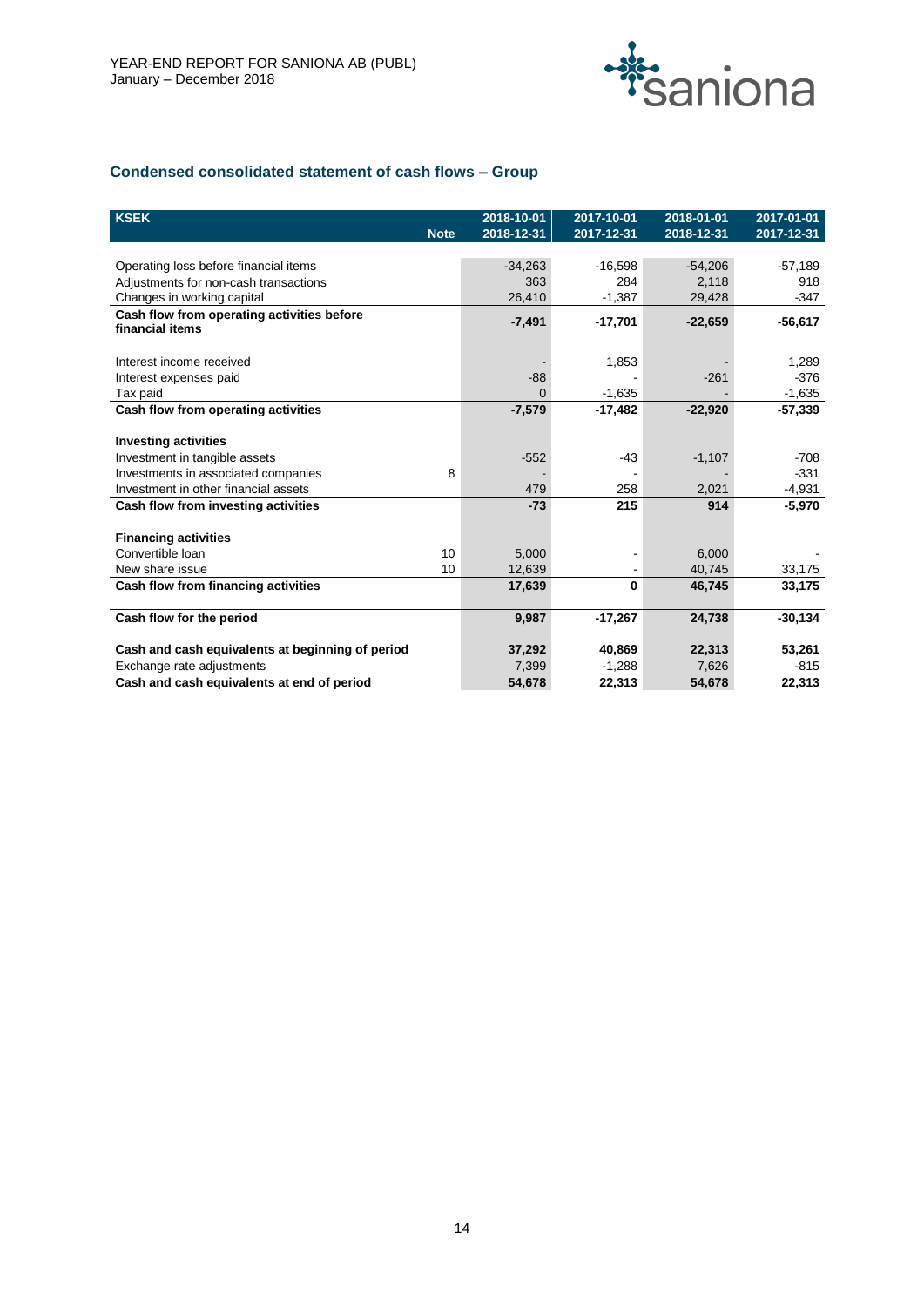

# **Condensed consolidated statement of cash flows – Group**

| <b>KSEK</b>                                                   | <b>Note</b> | 2018-10-01<br>2018-12-31 | 2017-10-01<br>2017-12-31 | 2018-01-01<br>2018-12-31 | 2017-01-01<br>2017-12-31 |
|---------------------------------------------------------------|-------------|--------------------------|--------------------------|--------------------------|--------------------------|
|                                                               |             |                          |                          |                          |                          |
| Operating loss before financial items                         |             | $-34,263$                | $-16,598$                | $-54,206$                | $-57,189$                |
| Adjustments for non-cash transactions                         |             | 363                      | 284                      | 2,118                    | 918                      |
| Changes in working capital                                    |             | 26,410                   | $-1,387$                 | 29,428                   | $-347$                   |
| Cash flow from operating activities before<br>financial items |             | $-7,491$                 | $-17,701$                | $-22,659$                | $-56,617$                |
|                                                               |             |                          |                          |                          |                          |
| Interest income received                                      |             |                          | 1,853                    |                          | 1,289                    |
| Interest expenses paid                                        |             | $-88$                    |                          | $-261$                   | $-376$                   |
| Tax paid                                                      |             | $\Omega$                 | $-1,635$                 |                          | $-1,635$                 |
| Cash flow from operating activities                           |             | $-7,579$                 | $-17,482$                | $-22,920$                | $-57,339$                |
|                                                               |             |                          |                          |                          |                          |
| <b>Investing activities</b>                                   |             |                          |                          |                          |                          |
| Investment in tangible assets                                 |             | $-552$                   | -43                      | $-1,107$                 | $-708$                   |
| Investments in associated companies                           | 8           |                          |                          |                          | $-331$                   |
| Investment in other financial assets                          |             | 479                      | 258                      | 2,021                    | $-4,931$                 |
| Cash flow from investing activities                           |             | $-73$                    | 215                      | 914                      | $-5,970$                 |
|                                                               |             |                          |                          |                          |                          |
| <b>Financing activities</b>                                   |             |                          |                          |                          |                          |
| Convertible Ioan                                              | 10          | 5,000                    |                          | 6,000                    |                          |
| New share issue                                               | 10          | 12,639                   |                          | 40,745                   | 33,175                   |
| Cash flow from financing activities                           |             | 17,639                   | $\bf{0}$                 | 46,745                   | 33,175                   |
|                                                               |             |                          |                          |                          |                          |
| Cash flow for the period                                      |             | 9,987                    | $-17,267$                | 24,738                   | $-30,134$                |
| Cash and cash equivalents at beginning of period              |             | 37,292                   | 40,869                   | 22,313                   | 53,261                   |
| Exchange rate adjustments                                     |             | 7,399                    | $-1,288$                 | 7,626                    | $-815$                   |
| Cash and cash equivalents at end of period                    |             | 54,678                   | 22,313                   | 54,678                   | 22,313                   |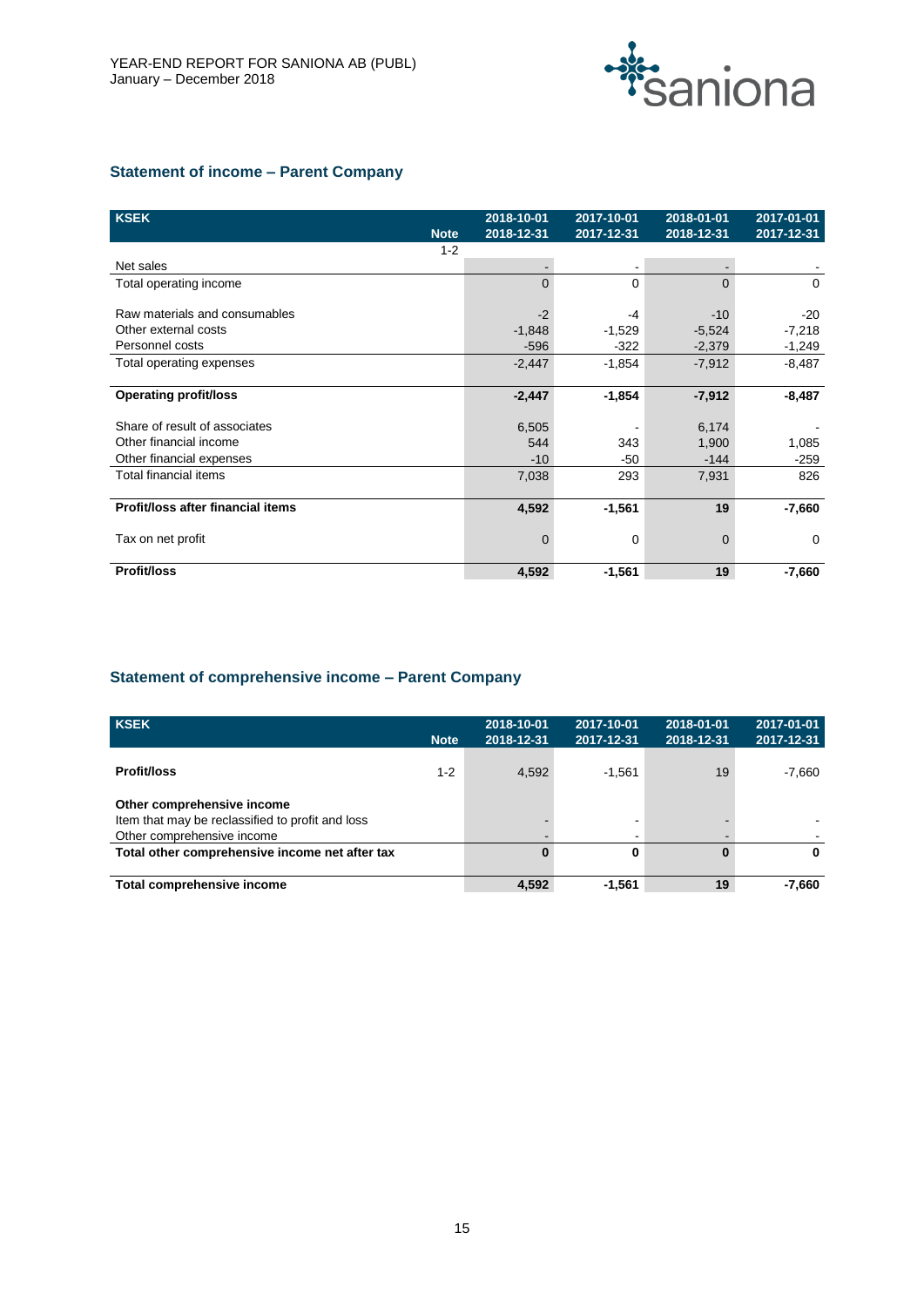

# **Statement of income – Parent Company**

| <b>KSEK</b>                       |             | 2018-10-01 | 2017-10-01 | 2018-01-01     | 2017-01-01 |
|-----------------------------------|-------------|------------|------------|----------------|------------|
|                                   | <b>Note</b> | 2018-12-31 | 2017-12-31 | 2018-12-31     | 2017-12-31 |
|                                   | $1 - 2$     |            |            |                |            |
| Net sales                         |             |            |            |                |            |
| Total operating income            |             | $\Omega$   | $\Omega$   | $\Omega$       | $\Omega$   |
|                                   |             |            |            |                |            |
| Raw materials and consumables     |             | $-2$       | -4         | $-10$          | -20        |
| Other external costs              |             | $-1,848$   | $-1,529$   | $-5,524$       | $-7,218$   |
| Personnel costs                   |             | $-596$     | $-322$     | $-2,379$       | $-1,249$   |
| Total operating expenses          |             | $-2,447$   | $-1,854$   | $-7,912$       | $-8,487$   |
|                                   |             |            |            |                |            |
| <b>Operating profit/loss</b>      |             | $-2,447$   | $-1,854$   | $-7,912$       | $-8,487$   |
|                                   |             |            |            |                |            |
| Share of result of associates     |             | 6,505      |            | 6,174          |            |
| Other financial income            |             | 544        | 343        | 1,900          | 1,085      |
| Other financial expenses          |             | $-10$      | $-50$      | $-144$         | $-259$     |
| <b>Total financial items</b>      |             | 7,038      | 293        | 7,931          | 826        |
|                                   |             |            |            |                |            |
| Profit/loss after financial items |             | 4,592      | $-1,561$   | 19             | $-7,660$   |
|                                   |             |            |            |                |            |
| Tax on net profit                 |             | $\Omega$   | 0          | $\overline{0}$ | $\Omega$   |
|                                   |             |            |            |                |            |
| <b>Profit/loss</b>                |             | 4,592      | $-1,561$   | 19             | $-7,660$   |
|                                   |             |            |            |                |            |

# **Statement of comprehensive income – Parent Company**

| <b>KSEK</b>                                                                                                  | <b>Note</b> | 2018-10-01<br>2018-12-31 | 2017-10-01<br>2017-12-31 | 2018-01-01<br>2018-12-31 | 2017-01-01<br>2017-12-31 |
|--------------------------------------------------------------------------------------------------------------|-------------|--------------------------|--------------------------|--------------------------|--------------------------|
| <b>Profit/loss</b>                                                                                           | $1 - 2$     | 4,592                    | $-1,561$                 | 19                       | $-7,660$                 |
| Other comprehensive income<br>Item that may be reclassified to profit and loss<br>Other comprehensive income |             |                          | ۰                        |                          |                          |
| Total other comprehensive income net after tax                                                               |             |                          | 0                        |                          | 0                        |
| Total comprehensive income                                                                                   |             | 4,592                    | $-1,561$                 | 19                       | $-7,660$                 |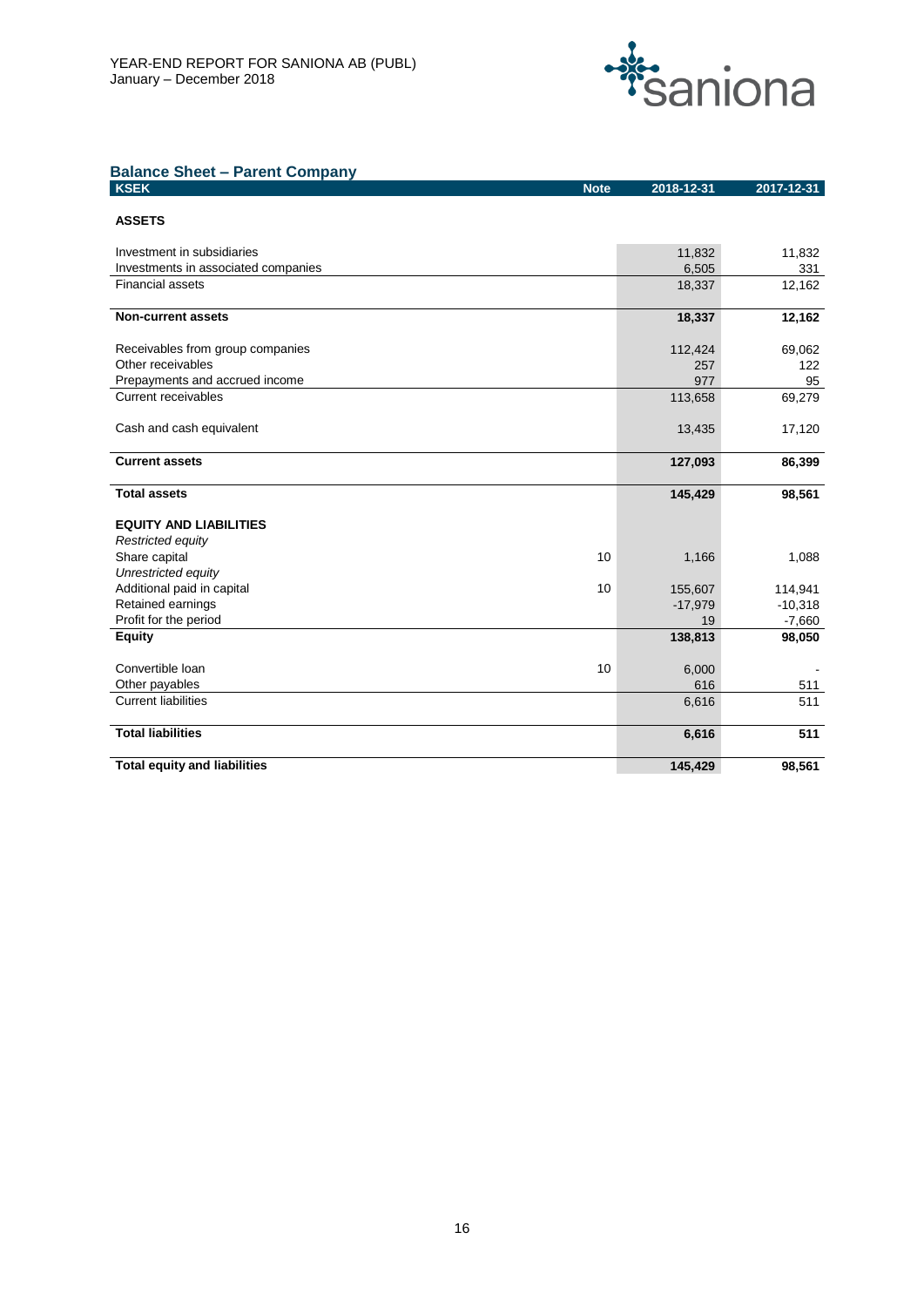

# **Balance Sheet – Parent Company**

| <b>KSEK</b><br><b>Note</b>          | 2018-12-31 | 2017-12-31 |
|-------------------------------------|------------|------------|
|                                     |            |            |
| <b>ASSETS</b>                       |            |            |
| Investment in subsidiaries          | 11,832     | 11,832     |
| Investments in associated companies | 6,505      | 331        |
| <b>Financial assets</b>             | 18,337     | 12,162     |
| <b>Non-current assets</b>           | 18,337     | 12,162     |
| Receivables from group companies    | 112,424    | 69,062     |
| Other receivables                   | 257        | 122        |
| Prepayments and accrued income      | 977        | 95         |
| <b>Current receivables</b>          | 113,658    | 69,279     |
|                                     |            |            |
| Cash and cash equivalent            | 13,435     | 17,120     |
| <b>Current assets</b>               | 127,093    | 86,399     |
|                                     |            |            |
| <b>Total assets</b>                 | 145,429    | 98,561     |
| <b>EQUITY AND LIABILITIES</b>       |            |            |
| Restricted equity                   |            |            |
| Share capital<br>10                 | 1,166      | 1,088      |
| Unrestricted equity                 |            |            |
| Additional paid in capital<br>10    | 155,607    | 114,941    |
| Retained earnings                   | $-17,979$  | $-10,318$  |
| Profit for the period               | 19         | $-7,660$   |
| <b>Equity</b>                       | 138,813    | 98,050     |
| Convertible Ioan<br>10              | 6,000      |            |
| Other payables                      | 616        | 511        |
| <b>Current liabilities</b>          | 6,616      | 511        |
| <b>Total liabilities</b>            | 6,616      | 511        |
| <b>Total equity and liabilities</b> | 145,429    | 98,561     |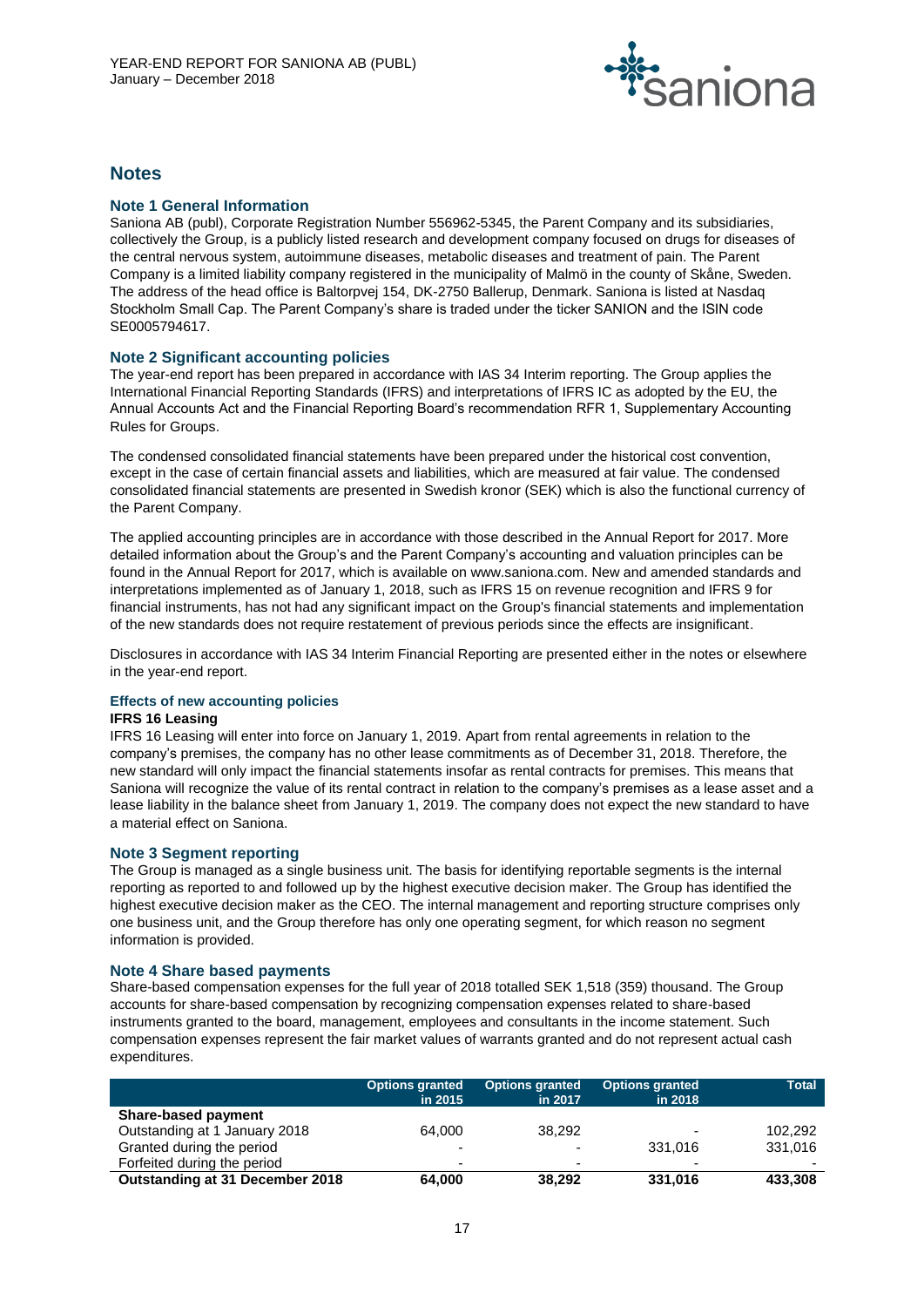

# **Notes**

#### **Note 1 General Information**

Saniona AB (publ), Corporate Registration Number 556962-5345, the Parent Company and its subsidiaries, collectively the Group, is a publicly listed research and development company focused on drugs for diseases of the central nervous system, autoimmune diseases, metabolic diseases and treatment of pain. The Parent Company is a limited liability company registered in the municipality of Malmö in the county of Skåne, Sweden. The address of the head office is Baltorpvej 154, DK-2750 Ballerup, Denmark. Saniona is listed at Nasdaq Stockholm Small Cap. The Parent Company's share is traded under the ticker SANION and the ISIN code SE0005794617.

#### **Note 2 Significant accounting policies**

The year-end report has been prepared in accordance with IAS 34 Interim reporting. The Group applies the International Financial Reporting Standards (IFRS) and interpretations of IFRS IC as adopted by the EU, the Annual Accounts Act and the Financial Reporting Board's recommendation RFR 1, Supplementary Accounting Rules for Groups.

The condensed consolidated financial statements have been prepared under the historical cost convention, except in the case of certain financial assets and liabilities, which are measured at fair value. The condensed consolidated financial statements are presented in Swedish kronor (SEK) which is also the functional currency of the Parent Company.

The applied accounting principles are in accordance with those described in the Annual Report for 2017. More detailed information about the Group's and the Parent Company's accounting and valuation principles can be found in the Annual Report for 2017, which is available on www.saniona.com. New and amended standards and interpretations implemented as of January 1, 2018, such as IFRS 15 on revenue recognition and IFRS 9 for financial instruments, has not had any significant impact on the Group's financial statements and implementation of the new standards does not require restatement of previous periods since the effects are insignificant.

Disclosures in accordance with IAS 34 Interim Financial Reporting are presented either in the notes or elsewhere in the year-end report.

#### **Effects of new accounting policies**

#### **IFRS 16 Leasing**

IFRS 16 Leasing will enter into force on January 1, 2019. Apart from rental agreements in relation to the company's premises, the company has no other lease commitments as of December 31, 2018. Therefore, the new standard will only impact the financial statements insofar as rental contracts for premises. This means that Saniona will recognize the value of its rental contract in relation to the company's premises as a lease asset and a lease liability in the balance sheet from January 1, 2019. The company does not expect the new standard to have a material effect on Saniona.

#### **Note 3 Segment reporting**

The Group is managed as a single business unit. The basis for identifying reportable segments is the internal reporting as reported to and followed up by the highest executive decision maker. The Group has identified the highest executive decision maker as the CEO. The internal management and reporting structure comprises only one business unit, and the Group therefore has only one operating segment, for which reason no segment information is provided.

#### **Note 4 Share based payments**

Share-based compensation expenses for the full year of 2018 totalled SEK 1,518 (359) thousand. The Group accounts for share-based compensation by recognizing compensation expenses related to share-based instruments granted to the board, management, employees and consultants in the income statement. Such compensation expenses represent the fair market values of warrants granted and do not represent actual cash expenditures.

|                                 | Options granted<br>in 2015 | <b>Options granted</b><br>in 2017 | <b>Options granted</b><br>in 2018 | <b>Total</b> |
|---------------------------------|----------------------------|-----------------------------------|-----------------------------------|--------------|
| <b>Share-based payment</b>      |                            |                                   |                                   |              |
| Outstanding at 1 January 2018   | 64.000                     | 38.292                            | $\overline{\phantom{0}}$          | 102.292      |
| Granted during the period       | $\blacksquare$             |                                   | 331.016                           | 331,016      |
| Forfeited during the period     | $\blacksquare$             | $\overline{\phantom{0}}$          | $\overline{\phantom{0}}$          |              |
| Outstanding at 31 December 2018 | 64.000                     | 38.292                            | 331,016                           | 433,308      |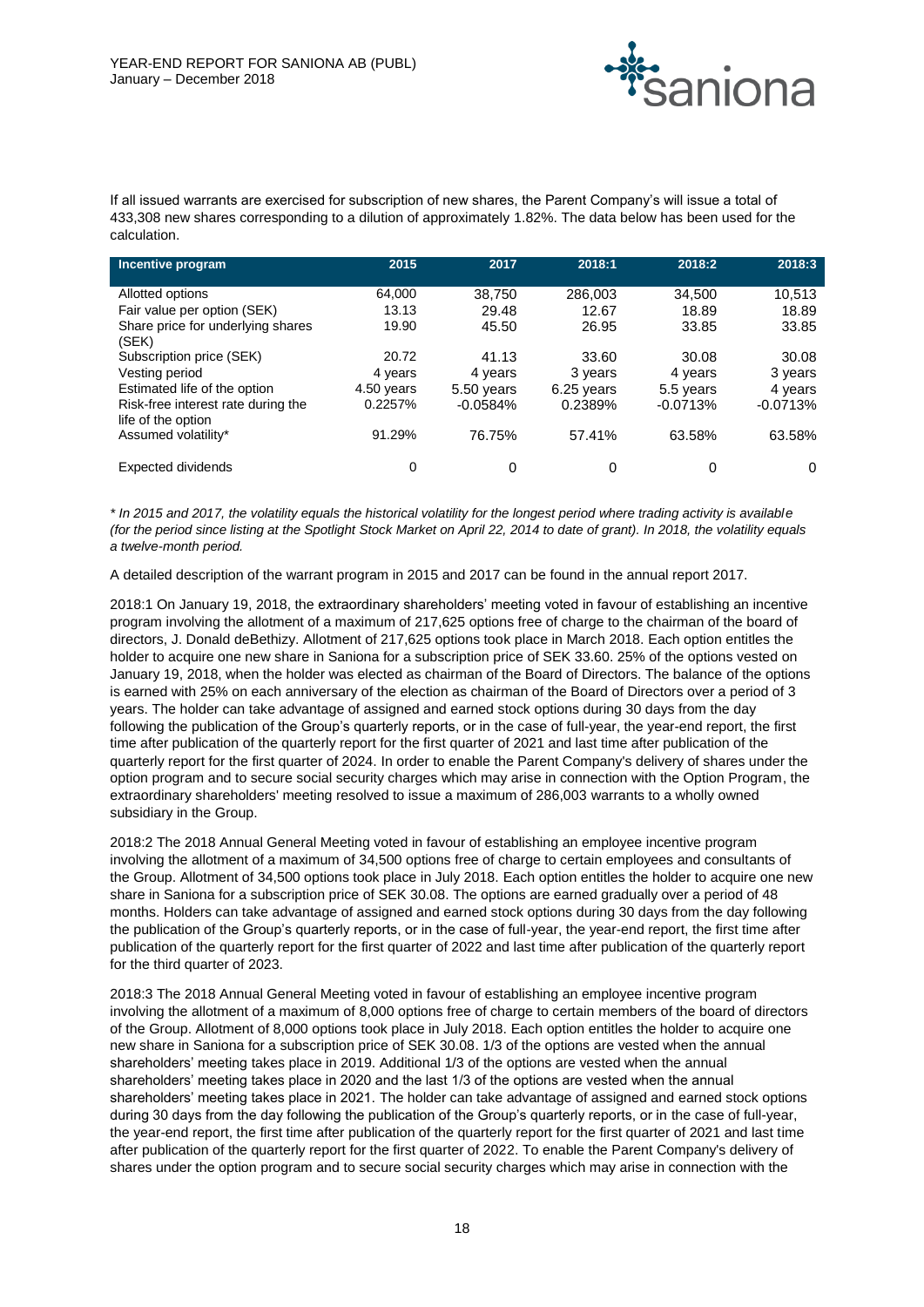

If all issued warrants are exercised for subscription of new shares, the Parent Company's will issue a total of 433,308 new shares corresponding to a dilution of approximately 1.82%. The data below has been used for the calculation.

| Incentive program                                                  | 2015                  | 2017                     | 2018:1                | 2018:2                  | 2018:3                |
|--------------------------------------------------------------------|-----------------------|--------------------------|-----------------------|-------------------------|-----------------------|
| Allotted options                                                   | 64.000                | 38,750                   | 286,003               | 34,500                  | 10,513                |
| Fair value per option (SEK)<br>Share price for underlying shares   | 13.13<br>19.90        | 29.48<br>45.50           | 12.67<br>26.95        | 18.89<br>33.85          | 18.89<br>33.85        |
| (SEK)<br>Subscription price (SEK)                                  | 20.72                 | 41.13                    | 33.60                 | 30.08                   | 30.08                 |
| Vesting period                                                     | 4 years               | 4 years                  | 3 years               | 4 years                 | 3 years               |
| Estimated life of the option<br>Risk-free interest rate during the | 4.50 years<br>0.2257% | 5.50 years<br>$-0.0584%$ | 6.25 years<br>0.2389% | 5.5 years<br>$-0.0713%$ | 4 years<br>$-0.0713%$ |
| life of the option<br>Assumed volatility*                          | 91.29%                | 76.75%                   | 57.41%                | 63.58%                  | 63.58%                |
|                                                                    |                       |                          |                       |                         |                       |
| Expected dividends                                                 | 0                     | 0                        | 0                     | 0                       | 0                     |

*\* In 2015 and 2017, the volatility equals the historical volatility for the longest period where trading activity is available (for the period since listing at the Spotlight Stock Market on April 22, 2014 to date of grant). In 2018, the volatility equals a twelve-month period.* 

A detailed description of the warrant program in 2015 and 2017 can be found in the annual report 2017.

2018:1 On January 19, 2018, the extraordinary shareholders' meeting voted in favour of establishing an incentive program involving the allotment of a maximum of 217,625 options free of charge to the chairman of the board of directors, J. Donald deBethizy. Allotment of 217,625 options took place in March 2018. Each option entitles the holder to acquire one new share in Saniona for a subscription price of SEK 33.60. 25% of the options vested on January 19, 2018, when the holder was elected as chairman of the Board of Directors. The balance of the options is earned with 25% on each anniversary of the election as chairman of the Board of Directors over a period of 3 years. The holder can take advantage of assigned and earned stock options during 30 days from the day following the publication of the Group's quarterly reports, or in the case of full-year, the year-end report, the first time after publication of the quarterly report for the first quarter of 2021 and last time after publication of the quarterly report for the first quarter of 2024. In order to enable the Parent Company's delivery of shares under the option program and to secure social security charges which may arise in connection with the Option Program, the extraordinary shareholders' meeting resolved to issue a maximum of 286,003 warrants to a wholly owned subsidiary in the Group.

2018:2 The 2018 Annual General Meeting voted in favour of establishing an employee incentive program involving the allotment of a maximum of 34,500 options free of charge to certain employees and consultants of the Group. Allotment of 34,500 options took place in July 2018. Each option entitles the holder to acquire one new share in Saniona for a subscription price of SEK 30.08. The options are earned gradually over a period of 48 months. Holders can take advantage of assigned and earned stock options during 30 days from the day following the publication of the Group's quarterly reports, or in the case of full-year, the year-end report, the first time after publication of the quarterly report for the first quarter of 2022 and last time after publication of the quarterly report for the third quarter of 2023.

2018:3 The 2018 Annual General Meeting voted in favour of establishing an employee incentive program involving the allotment of a maximum of 8,000 options free of charge to certain members of the board of directors of the Group. Allotment of 8,000 options took place in July 2018. Each option entitles the holder to acquire one new share in Saniona for a subscription price of SEK 30.08. 1/3 of the options are vested when the annual shareholders' meeting takes place in 2019. Additional 1/3 of the options are vested when the annual shareholders' meeting takes place in 2020 and the last 1/3 of the options are vested when the annual shareholders' meeting takes place in 2021. The holder can take advantage of assigned and earned stock options during 30 days from the day following the publication of the Group's quarterly reports, or in the case of full-year, the year-end report, the first time after publication of the quarterly report for the first quarter of 2021 and last time after publication of the quarterly report for the first quarter of 2022. To enable the Parent Company's delivery of shares under the option program and to secure social security charges which may arise in connection with the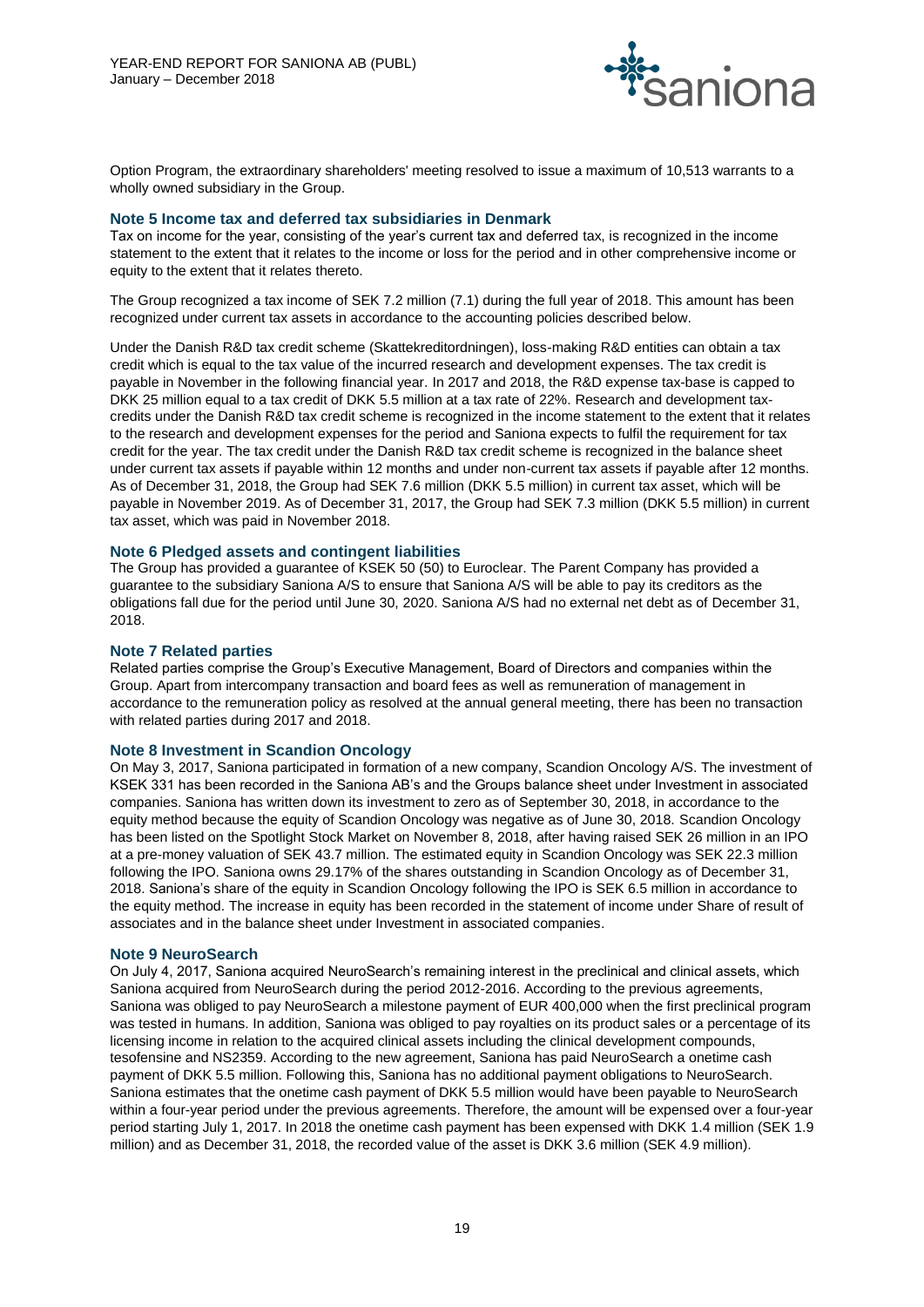

Option Program, the extraordinary shareholders' meeting resolved to issue a maximum of 10,513 warrants to a wholly owned subsidiary in the Group.

#### **Note 5 Income tax and deferred tax subsidiaries in Denmark**

Tax on income for the year, consisting of the year's current tax and deferred tax, is recognized in the income statement to the extent that it relates to the income or loss for the period and in other comprehensive income or equity to the extent that it relates thereto.

The Group recognized a tax income of SEK 7.2 million (7.1) during the full year of 2018. This amount has been recognized under current tax assets in accordance to the accounting policies described below.

Under the Danish R&D tax credit scheme (Skattekreditordningen), loss-making R&D entities can obtain a tax credit which is equal to the tax value of the incurred research and development expenses. The tax credit is payable in November in the following financial year. In 2017 and 2018, the R&D expense tax-base is capped to DKK 25 million equal to a tax credit of DKK 5.5 million at a tax rate of 22%. Research and development taxcredits under the Danish R&D tax credit scheme is recognized in the income statement to the extent that it relates to the research and development expenses for the period and Saniona expects to fulfil the requirement for tax credit for the year. The tax credit under the Danish R&D tax credit scheme is recognized in the balance sheet under current tax assets if payable within 12 months and under non-current tax assets if payable after 12 months. As of December 31, 2018, the Group had SEK 7.6 million (DKK 5.5 million) in current tax asset, which will be payable in November 2019. As of December 31, 2017, the Group had SEK 7.3 million (DKK 5.5 million) in current tax asset, which was paid in November 2018.

#### **Note 6 Pledged assets and contingent liabilities**

The Group has provided a guarantee of KSEK 50 (50) to Euroclear. The Parent Company has provided a guarantee to the subsidiary Saniona A/S to ensure that Saniona A/S will be able to pay its creditors as the obligations fall due for the period until June 30, 2020. Saniona A/S had no external net debt as of December 31, 2018.

#### **Note 7 Related parties**

Related parties comprise the Group's Executive Management, Board of Directors and companies within the Group. Apart from intercompany transaction and board fees as well as remuneration of management in accordance to the remuneration policy as resolved at the annual general meeting, there has been no transaction with related parties during 2017 and 2018.

### **Note 8 Investment in Scandion Oncology**

On May 3, 2017, Saniona participated in formation of a new company, Scandion Oncology A/S. The investment of KSEK 331 has been recorded in the Saniona AB's and the Groups balance sheet under Investment in associated companies. Saniona has written down its investment to zero as of September 30, 2018, in accordance to the equity method because the equity of Scandion Oncology was negative as of June 30, 2018. Scandion Oncology has been listed on the Spotlight Stock Market on November 8, 2018, after having raised SEK 26 million in an IPO at a pre-money valuation of SEK 43.7 million. The estimated equity in Scandion Oncology was SEK 22.3 million following the IPO. Saniona owns 29.17% of the shares outstanding in Scandion Oncology as of December 31, 2018. Saniona's share of the equity in Scandion Oncology following the IPO is SEK 6.5 million in accordance to the equity method. The increase in equity has been recorded in the statement of income under Share of result of associates and in the balance sheet under Investment in associated companies.

#### **Note 9 NeuroSearch**

On July 4, 2017, Saniona acquired NeuroSearch's remaining interest in the preclinical and clinical assets, which Saniona acquired from NeuroSearch during the period 2012-2016. According to the previous agreements, Saniona was obliged to pay NeuroSearch a milestone payment of EUR 400,000 when the first preclinical program was tested in humans. In addition, Saniona was obliged to pay royalties on its product sales or a percentage of its licensing income in relation to the acquired clinical assets including the clinical development compounds, tesofensine and NS2359. According to the new agreement, Saniona has paid NeuroSearch a onetime cash payment of DKK 5.5 million. Following this, Saniona has no additional payment obligations to NeuroSearch. Saniona estimates that the onetime cash payment of DKK 5.5 million would have been payable to NeuroSearch within a four-year period under the previous agreements. Therefore, the amount will be expensed over a four-year period starting July 1, 2017. In 2018 the onetime cash payment has been expensed with DKK 1.4 million (SEK 1.9 million) and as December 31, 2018, the recorded value of the asset is DKK 3.6 million (SEK 4.9 million).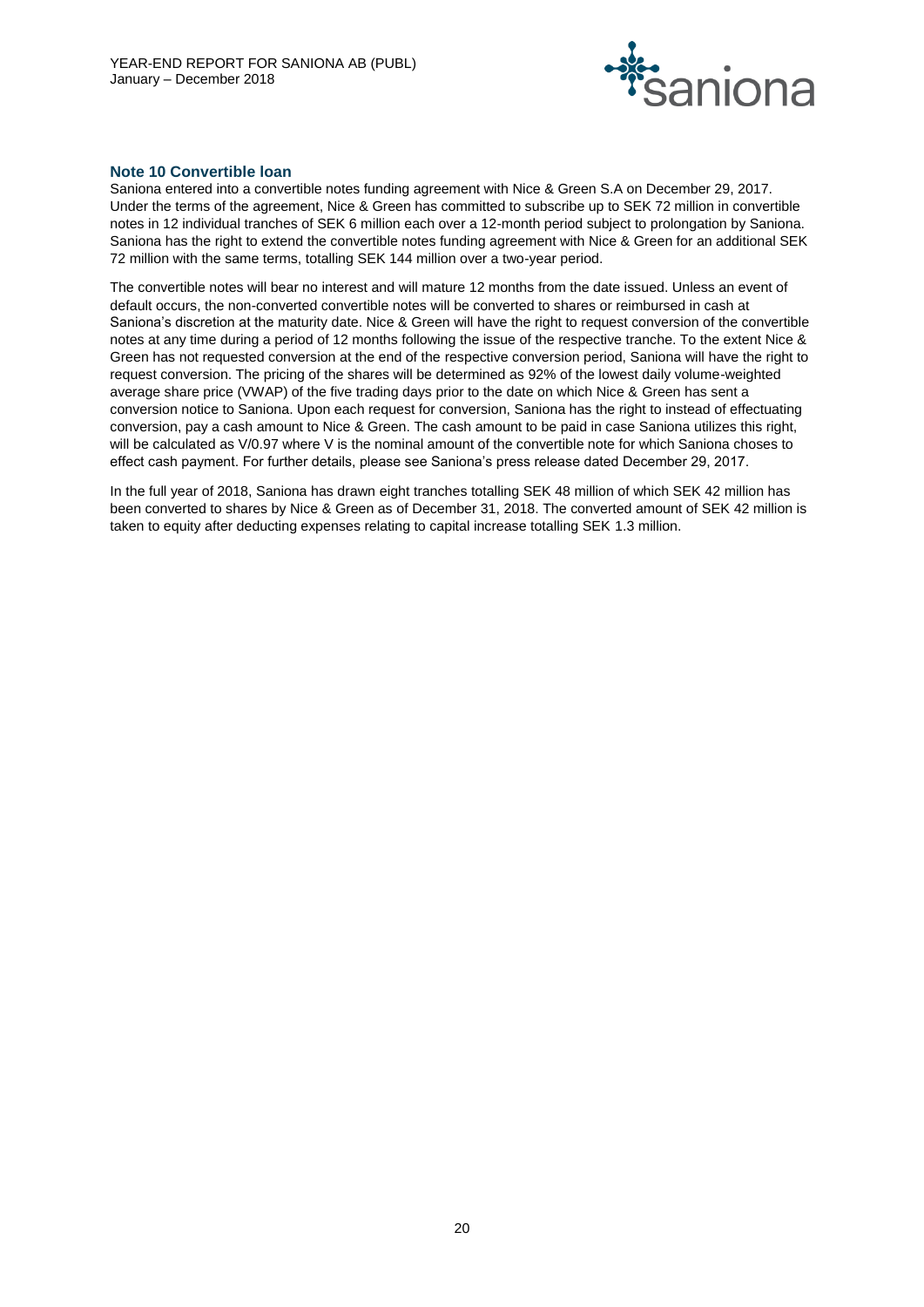

#### **Note 10 Convertible loan**

Saniona entered into a convertible notes funding agreement with Nice & Green S.A on December 29, 2017. Under the terms of the agreement, Nice & Green has committed to subscribe up to SEK 72 million in convertible notes in 12 individual tranches of SEK 6 million each over a 12-month period subject to prolongation by Saniona. Saniona has the right to extend the convertible notes funding agreement with Nice & Green for an additional SEK 72 million with the same terms, totalling SEK 144 million over a two-year period.

The convertible notes will bear no interest and will mature 12 months from the date issued. Unless an event of default occurs, the non-converted convertible notes will be converted to shares or reimbursed in cash at Saniona's discretion at the maturity date. Nice & Green will have the right to request conversion of the convertible notes at any time during a period of 12 months following the issue of the respective tranche. To the extent Nice & Green has not requested conversion at the end of the respective conversion period, Saniona will have the right to request conversion. The pricing of the shares will be determined as 92% of the lowest daily volume-weighted average share price (VWAP) of the five trading days prior to the date on which Nice & Green has sent a conversion notice to Saniona. Upon each request for conversion, Saniona has the right to instead of effectuating conversion, pay a cash amount to Nice & Green. The cash amount to be paid in case Saniona utilizes this right, will be calculated as V/0.97 where V is the nominal amount of the convertible note for which Saniona choses to effect cash payment. For further details, please see Saniona's press release dated December 29, 2017.

In the full year of 2018, Saniona has drawn eight tranches totalling SEK 48 million of which SEK 42 million has been converted to shares by Nice & Green as of December 31, 2018. The converted amount of SEK 42 million is taken to equity after deducting expenses relating to capital increase totalling SEK 1.3 million.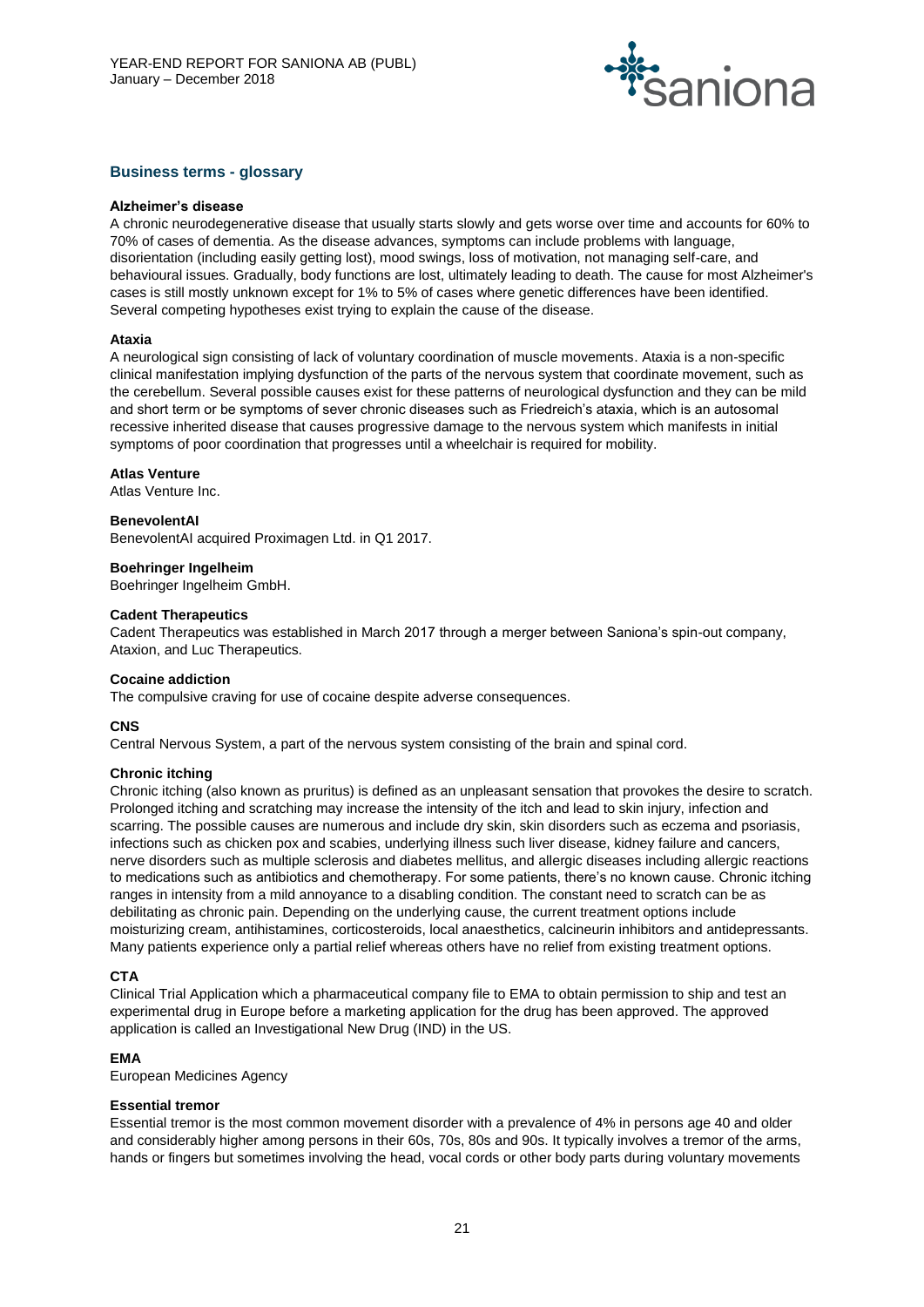

### **Business terms - glossary**

#### **Alzheimer's disease**

A chronic neurodegenerative disease that usually starts slowly and gets worse over time and accounts for 60% to 70% of cases of dementia. As the disease advances, symptoms can include problems with language, disorientation (including easily getting lost), mood swings, loss of motivation, not managing self-care, and behavioural issues. Gradually, body functions are lost, ultimately leading to death. The cause for most Alzheimer's cases is still mostly unknown except for 1% to 5% of cases where genetic differences have been identified. Several competing hypotheses exist trying to explain the cause of the disease.

#### **Ataxia**

A neurological sign consisting of lack of voluntary coordination of muscle movements. Ataxia is a non-specific clinical manifestation implying dysfunction of the parts of the nervous system that coordinate movement, such as the cerebellum. Several possible causes exist for these patterns of neurological dysfunction and they can be mild and short term or be symptoms of sever chronic diseases such as Friedreich's ataxia, which is an autosomal recessive inherited disease that causes progressive damage to the nervous system which manifests in initial symptoms of poor coordination that progresses until a wheelchair is required for mobility.

#### **Atlas Venture**

Atlas Venture Inc.

#### **BenevolentAI**

BenevolentAI acquired Proximagen Ltd. in Q1 2017.

#### **Boehringer Ingelheim**

Boehringer Ingelheim GmbH.

#### **Cadent Therapeutics**

Cadent Therapeutics was established in March 2017 through a merger between Saniona's spin-out company, Ataxion, and Luc Therapeutics.

#### **Cocaine addiction**

The compulsive craving for use of cocaine despite adverse consequences.

#### **CNS**

Central Nervous System, a part of the nervous system consisting of the brain and spinal cord.

#### **Chronic itching**

Chronic itching (also known as pruritus) is defined as an unpleasant sensation that provokes the desire to scratch. Prolonged itching and scratching may increase the intensity of the itch and lead to skin injury, infection and scarring. The possible causes are numerous and include dry skin, skin disorders such as eczema and psoriasis, infections such as chicken pox and scabies, underlying illness such liver disease, kidney failure and cancers, nerve disorders such as multiple sclerosis and diabetes mellitus, and allergic diseases including allergic reactions to medications such as antibiotics and chemotherapy. For some patients, there's no known cause. Chronic itching ranges in intensity from a mild annoyance to a disabling condition. The constant need to scratch can be as debilitating as chronic pain. Depending on the underlying cause, the current treatment options include moisturizing cream, antihistamines, corticosteroids, local anaesthetics, calcineurin inhibitors and antidepressants. Many patients experience only a partial relief whereas others have no relief from existing treatment options.

#### **CTA**

Clinical Trial Application which a pharmaceutical company file to EMA to obtain permission to ship and test an experimental drug in Europe before a marketing application for the drug has been approved. The approved application is called an Investigational New Drug (IND) in the US.

#### **EMA**

European Medicines Agency

#### **Essential tremor**

Essential tremor is the most common movement disorder with a prevalence of 4% in persons age 40 and older and considerably higher among persons in their 60s, 70s, 80s and 90s. It typically involves a tremor of the arms, hands or fingers but sometimes involving the head, vocal cords or other body parts during voluntary movements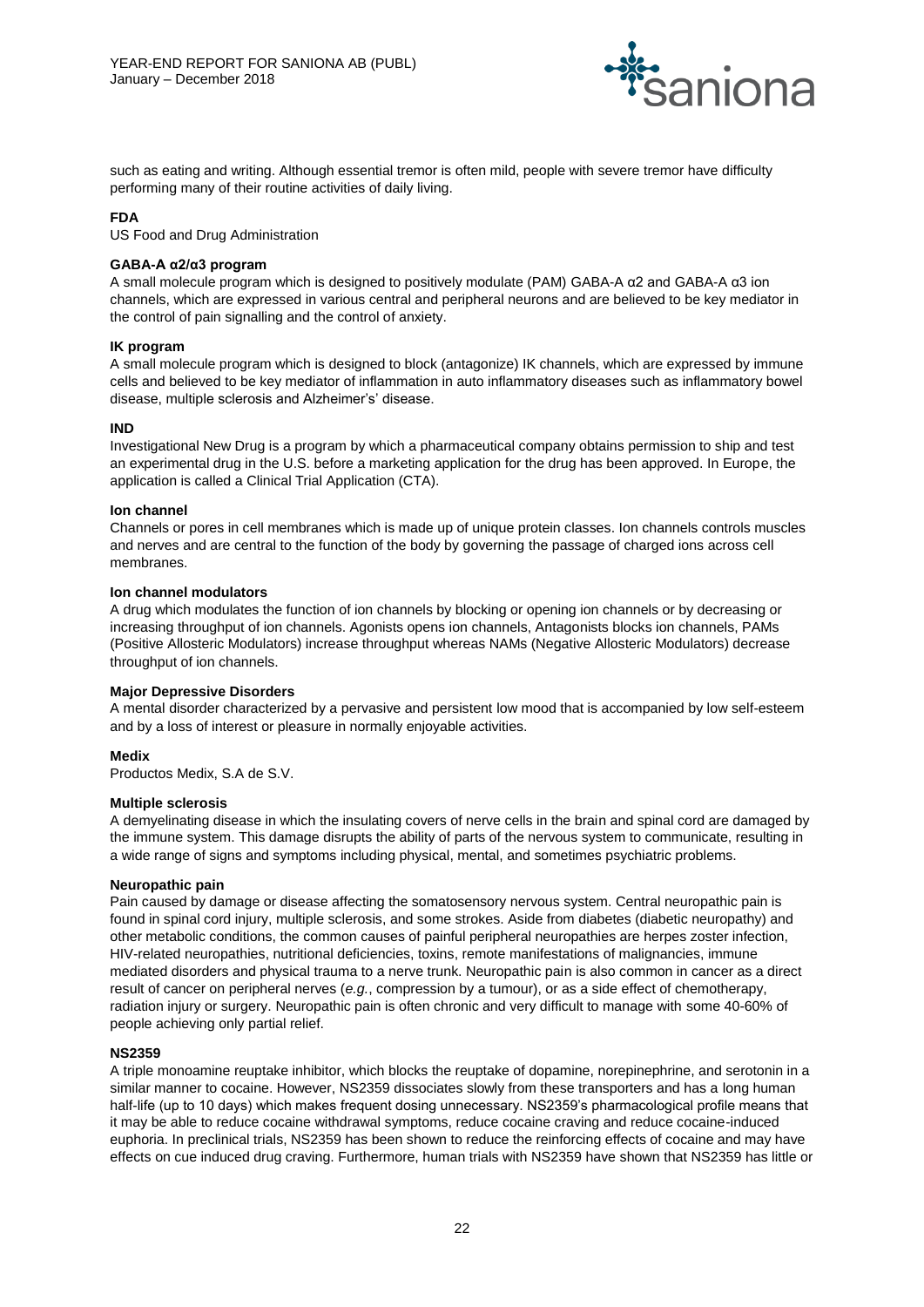

such as eating and writing. Although essential tremor is often mild, people with severe tremor have difficulty performing many of their routine activities of daily living.

#### **FDA**

US Food and Drug Administration

#### **GABA-A α2/α3 program**

A small molecule program which is designed to positively modulate (PAM) GABA-A α2 and GABA-A α3 ion channels, which are expressed in various central and peripheral neurons and are believed to be key mediator in the control of pain signalling and the control of anxiety.

#### **IK program**

A small molecule program which is designed to block (antagonize) IK channels, which are expressed by immune cells and believed to be key mediator of inflammation in auto inflammatory diseases such as inflammatory bowel disease, multiple sclerosis and Alzheimer's' disease.

#### **IND**

Investigational New Drug is a program by which a pharmaceutical company obtains permission to ship and test an experimental drug in the U.S. before a marketing application for the drug has been approved. In Europe, the application is called a Clinical Trial Application (CTA).

#### **Ion channel**

Channels or pores in cell membranes which is made up of unique protein classes. Ion channels controls muscles and nerves and are central to the function of the body by governing the passage of charged ions across cell membranes.

#### **Ion channel modulators**

A drug which modulates the function of ion channels by blocking or opening ion channels or by decreasing or increasing throughput of ion channels. Agonists opens ion channels, Antagonists blocks ion channels, PAMs (Positive Allosteric Modulators) increase throughput whereas NAMs (Negative Allosteric Modulators) decrease throughput of ion channels.

#### **Major Depressive Disorders**

A mental disorder characterized by a pervasive and persistent low mood that is accompanied by low self-esteem and by a loss of interest or pleasure in normally enjoyable activities.

#### **Medix**

Productos Medix, S.A de S.V.

#### **Multiple sclerosis**

A demyelinating disease in which the insulating covers of nerve cells in the brain and spinal cord are damaged by the immune system. This damage disrupts the ability of parts of the nervous system to communicate, resulting in a wide range of signs and symptoms including physical, mental, and sometimes psychiatric problems.

#### **Neuropathic pain**

Pain caused by damage or disease affecting the somatosensory nervous system. Central neuropathic pain is found in spinal cord injury, multiple sclerosis, and some strokes. Aside from diabetes (diabetic neuropathy) and other metabolic conditions, the common causes of painful peripheral neuropathies are herpes zoster infection, HIV-related neuropathies, nutritional deficiencies, toxins, remote manifestations of malignancies, immune mediated disorders and physical trauma to a nerve trunk. Neuropathic pain is also common in cancer as a direct result of cancer on peripheral nerves (*e.g.*, compression by a tumour), or as a side effect of chemotherapy, radiation injury or surgery. Neuropathic pain is often chronic and very difficult to manage with some 40-60% of people achieving only partial relief.

#### **NS2359**

A triple monoamine reuptake inhibitor, which blocks the reuptake of dopamine, norepinephrine, and serotonin in a similar manner to cocaine. However, NS2359 dissociates slowly from these transporters and has a long human half-life (up to 10 days) which makes frequent dosing unnecessary. NS2359's pharmacological profile means that it may be able to reduce cocaine withdrawal symptoms, reduce cocaine craving and reduce cocaine-induced euphoria. In preclinical trials, NS2359 has been shown to reduce the reinforcing effects of cocaine and may have effects on cue induced drug craving. Furthermore, human trials with NS2359 have shown that NS2359 has little or